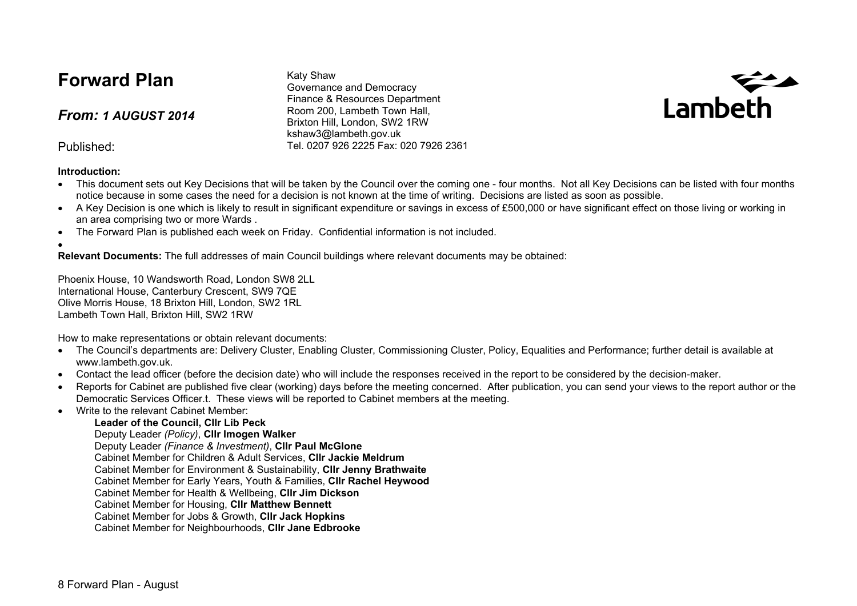# **Forward Plan**

*From: 1 AUGUST 2014*

Published:

#### **Introduction:**

- This document sets out Key Decisions that will be taken by the Council over the coming one four months. Not all Key Decisions can be listed with four months notice because in some cases the need for a decision is not known at the time of writing. Decisions are listed as soon as possible.
- A Key Decision is one which is likely to result in significant expenditure or savings in excess of £500,000 or have significant effect on those living or working in an area comprising two or more Wards .
- The Forward Plan is published each week on Friday. Confidential information is not included.

 $\bullet$ **Relevant Documents:** The full addresses of main Council buildings where relevant documents may be obtained:

Katy Shaw

Governance and Democracy Finance & Resources Department Room 200, Lambeth Town Hall, Brixton Hill, London, SW2 1RW kshaw3@lambeth.gov.uk

Tel. 0207 926 2225 Fax: 020 7926 2361

Phoenix House, 10 Wandsworth Road, London SW8 2LL International House, Canterbury Crescent, SW9 7QE Olive Morris House, 18 Brixton Hill, London, SW2 1RL Lambeth Town Hall, Brixton Hill, SW2 1RW

How to make representations or obtain relevant documents:

- The Council's departments are: Delivery Cluster, Enabling Cluster, Commissioning Cluster, Policy, Equalities and Performance; further detail is available at [www.lambeth.gov.uk](http://www.lambeth.gov.uk/).
- Contact the lead officer (before the decision date) who will include the responses received in the report to be considered by the decision-maker.
- Reports for Cabinet are published five clear (working) days before the meeting concerned. After publication, you can send your views to the report author or the Democratic Services Officer.t. These views will be reported to Cabinet members at the meeting.
- Write to the relevant Cabinet Member:

**Leader of the Council, Cllr Lib Peck**

Deputy Leader *(Policy)*, **Cllr Imogen Walker**

Deputy Leader *(Finance & Investment)*, **Cllr Paul McGlone**

Cabinet Member for Children & Adult Services, **Cllr Jackie Meldrum**

Cabinet Member for Environment & Sustainability, **Cllr Jenny Brathwaite**

Cabinet Member for Early Years, Youth & Families, **Cllr Rachel Heywood**

Cabinet Member for Health & Wellbeing, **Cllr Jim Dickson**

Cabinet Member for Housing, **Cllr Matthew Bennett**

Cabinet Member for Jobs & Growth, **Cllr Jack Hopkins**

Cabinet Member for Neighbourhoods, **Cllr Jane Edbrooke**

Lambeth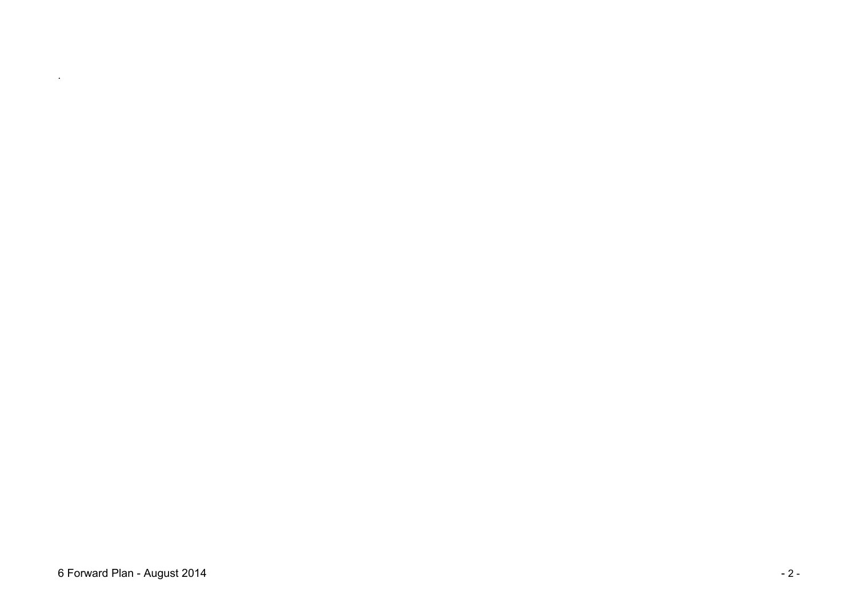6 Forward Plan - August 2014 - 2 -

.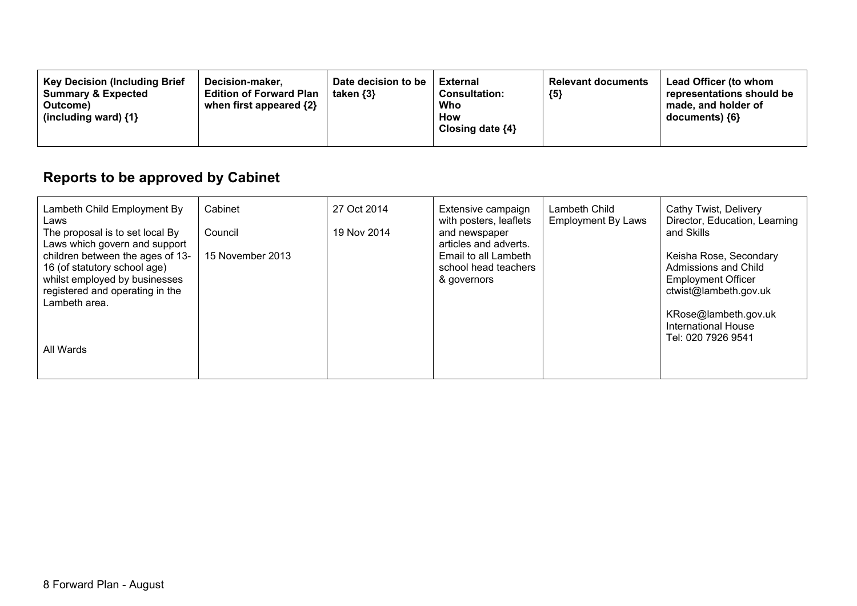| <b>Key Decision (Including Brief</b><br><b>Summary &amp; Expected</b><br>Outcome)<br>(including ward) $\{1\}$ | Decision-maker.<br><b>Edition of Forward Plan</b><br>when first appeared $\{2\}$ | Date decision to be<br>taken $\{3\}$ | External<br><b>Consultation:</b><br>Who<br>How<br>Closing date $\{4\}$ | <b>Relevant documents</b><br>${5}$ | <b>Lead Officer (to whom</b><br>representations should be<br>made, and holder of<br>documents) ${6}$ |
|---------------------------------------------------------------------------------------------------------------|----------------------------------------------------------------------------------|--------------------------------------|------------------------------------------------------------------------|------------------------------------|------------------------------------------------------------------------------------------------------|
|---------------------------------------------------------------------------------------------------------------|----------------------------------------------------------------------------------|--------------------------------------|------------------------------------------------------------------------|------------------------------------|------------------------------------------------------------------------------------------------------|

# **Reports to be approved by Cabinet**

| Lambeth Child Employment By<br>Laws                                                                                                                   | Cabinet          | 27 Oct 2014 | Extensive campaign<br>with posters, leaflets                | Lambeth Child<br><b>Employment By Laws</b> | Cathy Twist, Delivery<br>Director, Education, Learning                                                                       |
|-------------------------------------------------------------------------------------------------------------------------------------------------------|------------------|-------------|-------------------------------------------------------------|--------------------------------------------|------------------------------------------------------------------------------------------------------------------------------|
| The proposal is to set local By<br>Laws which govern and support                                                                                      | Council          | 19 Nov 2014 | and newspaper<br>articles and adverts.                      |                                            | and Skills                                                                                                                   |
| children between the ages of 13-<br>16 (of statutory school age)<br>whilst employed by businesses<br>registered and operating in the<br>Lambeth area. | 15 November 2013 |             | Email to all Lambeth<br>school head teachers<br>& governors |                                            | Keisha Rose, Secondary<br>Admissions and Child<br><b>Employment Officer</b><br>ctwist@lambeth.gov.uk<br>KRose@lambeth.gov.uk |
| All Wards                                                                                                                                             |                  |             |                                                             |                                            | International House<br>Tel: 020 7926 9541                                                                                    |
|                                                                                                                                                       |                  |             |                                                             |                                            |                                                                                                                              |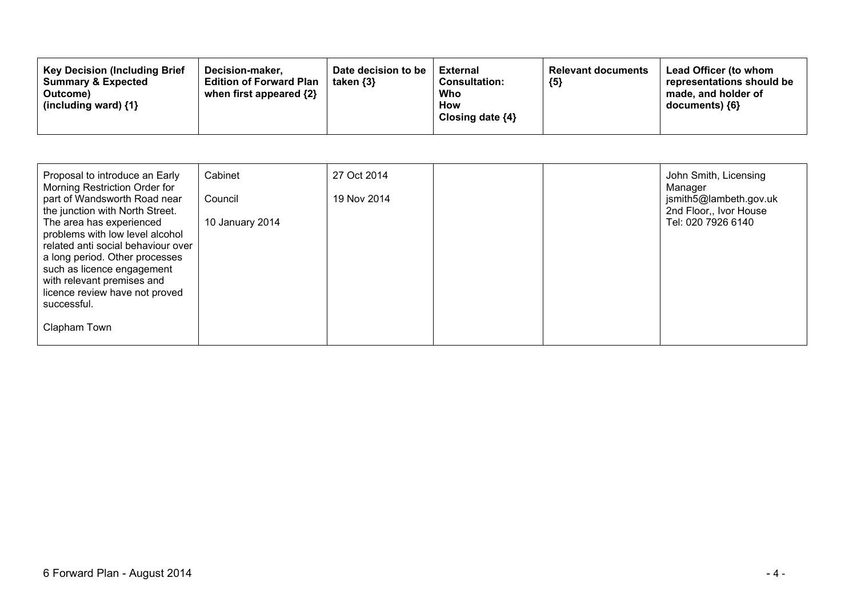| Proposal to introduce an Early<br>Morning Restriction Order for<br>part of Wandsworth Road near<br>the junction with North Street.<br>The area has experienced<br>problems with low level alcohol<br>related anti social behaviour over<br>a long period. Other processes | Cabinet<br>Council<br>10 January 2014 | 27 Oct 2014<br>19 Nov 2014 |  | John Smith, Licensing<br>Manager<br>jsmith5@lambeth.gov.uk<br>2nd Floor,, Ivor House<br>Tel: 020 7926 6140 |
|---------------------------------------------------------------------------------------------------------------------------------------------------------------------------------------------------------------------------------------------------------------------------|---------------------------------------|----------------------------|--|------------------------------------------------------------------------------------------------------------|
| such as licence engagement<br>with relevant premises and<br>licence review have not proved<br>successful.                                                                                                                                                                 |                                       |                            |  |                                                                                                            |
| Clapham Town                                                                                                                                                                                                                                                              |                                       |                            |  |                                                                                                            |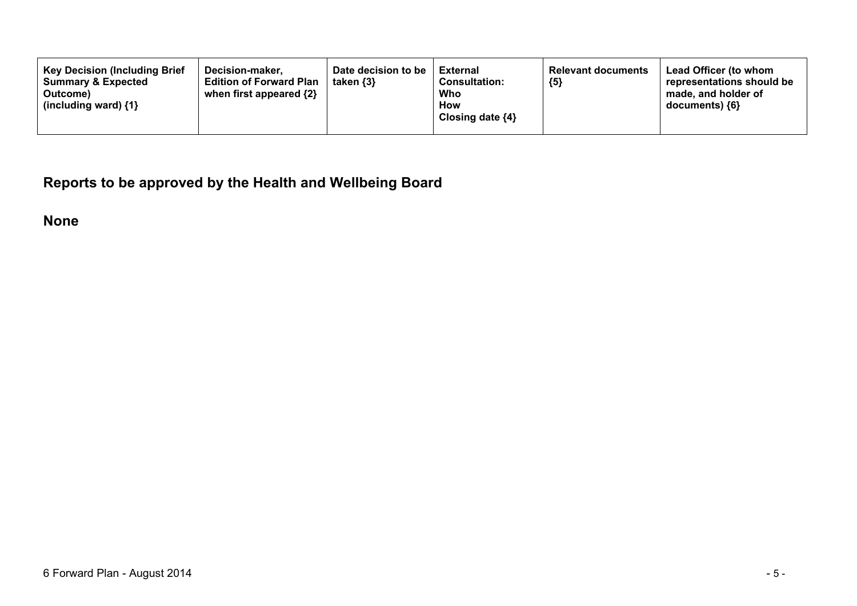**Reports to be approved by the Health and Wellbeing Board**

**None**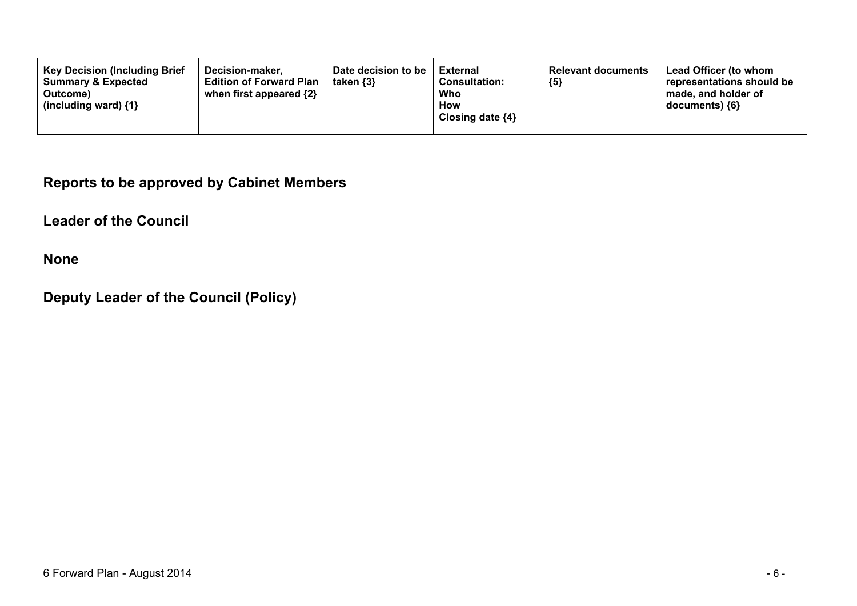#### **Reports to be approved by Cabinet Members**

**Leader of the Council**

**None**

## **Deputy Leader of the Council (Policy)**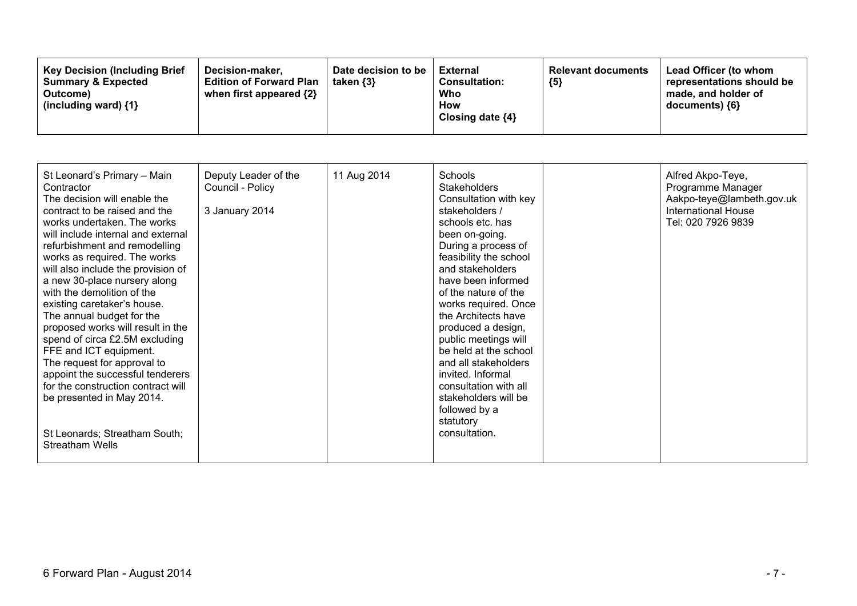| <b>Key Decision (Including Brief)</b><br>Decision-maker.<br><b>Summary &amp; Expected</b><br><b>Edition of Forward Plan</b><br>when first appeared {2}<br>Outcome)<br>(including ward) $\{1\}$ | Date decision to be<br>taken $\{3\}$ | External<br><b>Consultation:</b><br>Who<br>How<br>Closing date $\{4\}$ | <b>Relevant documents</b><br>${5}$ | Lead Officer (to whom<br>representations should be<br>made, and holder of<br>documents) ${6}$ |
|------------------------------------------------------------------------------------------------------------------------------------------------------------------------------------------------|--------------------------------------|------------------------------------------------------------------------|------------------------------------|-----------------------------------------------------------------------------------------------|
|------------------------------------------------------------------------------------------------------------------------------------------------------------------------------------------------|--------------------------------------|------------------------------------------------------------------------|------------------------------------|-----------------------------------------------------------------------------------------------|

| St Leonard's Primary - Main<br>Contractor                           | Deputy Leader of the<br>Council - Policy | 11 Aug 2014 | Schools<br><b>Stakeholders</b>                | Alfred Akpo-Teye,<br>Programme Manager                  |
|---------------------------------------------------------------------|------------------------------------------|-------------|-----------------------------------------------|---------------------------------------------------------|
| The decision will enable the<br>contract to be raised and the       | 3 January 2014                           |             | Consultation with key<br>stakeholders /       | Aakpo-teye@lambeth.gov.uk<br><b>International House</b> |
| works undertaken. The works<br>will include internal and external   |                                          |             | schools etc. has<br>been on-going.            | Tel: 020 7926 9839                                      |
| refurbishment and remodelling<br>works as required. The works       |                                          |             | During a process of<br>feasibility the school |                                                         |
| will also include the provision of                                  |                                          |             | and stakeholders                              |                                                         |
| a new 30-place nursery along<br>with the demolition of the          |                                          |             | have been informed<br>of the nature of the    |                                                         |
| existing caretaker's house.<br>The annual budget for the            |                                          |             | works required. Once<br>the Architects have   |                                                         |
| proposed works will result in the<br>spend of circa £2.5M excluding |                                          |             | produced a design,                            |                                                         |
| FFE and ICT equipment.                                              |                                          |             | public meetings will<br>be held at the school |                                                         |
| The request for approval to<br>appoint the successful tenderers     |                                          |             | and all stakeholders<br>invited. Informal     |                                                         |
| for the construction contract will<br>be presented in May 2014.     |                                          |             | consultation with all<br>stakeholders will be |                                                         |
|                                                                     |                                          |             | followed by a                                 |                                                         |
| St Leonards; Streatham South;<br>Streatham Wells                    |                                          |             | statutory<br>consultation.                    |                                                         |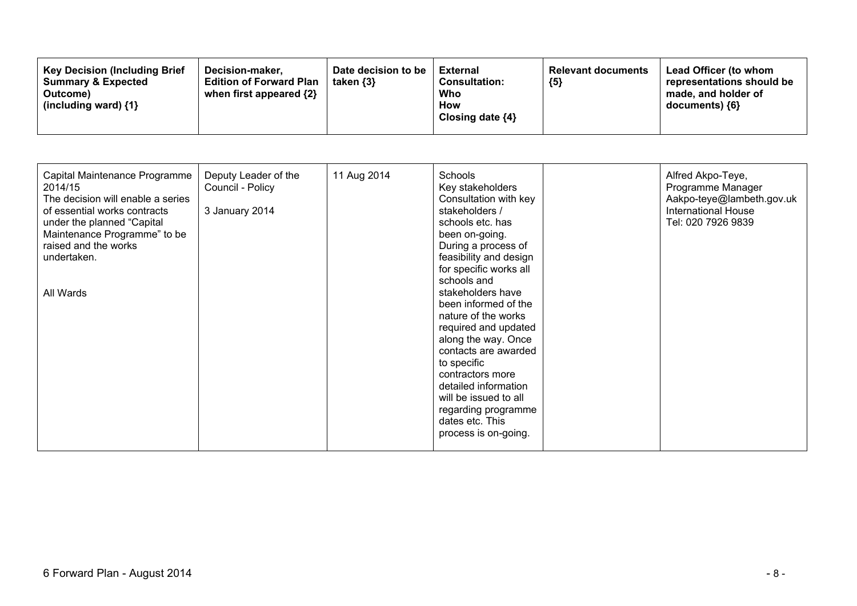| <b>Key Decision (Including Brief)</b><br>Decision-maker.<br><b>Summary &amp; Expected</b><br><b>Edition of Forward Plan</b><br>when first appeared {2}<br>Outcome)<br>(including ward) $\{1\}$ | Date decision to be<br>taken $\{3\}$ | External<br><b>Consultation:</b><br>Who<br>How<br>Closing date ${4}$ | <b>Relevant documents</b><br>${5}$ | Lead Officer (to whom<br>representations should be<br>made, and holder of<br>documents) ${6}$ |
|------------------------------------------------------------------------------------------------------------------------------------------------------------------------------------------------|--------------------------------------|----------------------------------------------------------------------|------------------------------------|-----------------------------------------------------------------------------------------------|
|------------------------------------------------------------------------------------------------------------------------------------------------------------------------------------------------|--------------------------------------|----------------------------------------------------------------------|------------------------------------|-----------------------------------------------------------------------------------------------|

| Capital Maintenance Programme<br>2014/15<br>The decision will enable a series<br>of essential works contracts<br>under the planned "Capital<br>Maintenance Programme" to be<br>raised and the works<br>undertaken.<br>All Wards | Deputy Leader of the<br>Council - Policy<br>3 January 2014 | 11 Aug 2014 | Schools<br>Key stakeholders<br>Consultation with key<br>stakeholders /<br>schools etc. has<br>been on-going.<br>During a process of<br>feasibility and design<br>for specific works all<br>schools and<br>stakeholders have<br>been informed of the<br>nature of the works<br>required and updated<br>along the way. Once<br>contacts are awarded<br>to specific<br>contractors more<br>detailed information<br>will be issued to all<br>regarding programme<br>dates etc. This<br>process is on-going. |  | Alfred Akpo-Teye,<br>Programme Manager<br>Aakpo-teye@lambeth.gov.uk<br><b>International House</b><br>Tel: 020 7926 9839 |
|---------------------------------------------------------------------------------------------------------------------------------------------------------------------------------------------------------------------------------|------------------------------------------------------------|-------------|---------------------------------------------------------------------------------------------------------------------------------------------------------------------------------------------------------------------------------------------------------------------------------------------------------------------------------------------------------------------------------------------------------------------------------------------------------------------------------------------------------|--|-------------------------------------------------------------------------------------------------------------------------|
|---------------------------------------------------------------------------------------------------------------------------------------------------------------------------------------------------------------------------------|------------------------------------------------------------|-------------|---------------------------------------------------------------------------------------------------------------------------------------------------------------------------------------------------------------------------------------------------------------------------------------------------------------------------------------------------------------------------------------------------------------------------------------------------------------------------------------------------------|--|-------------------------------------------------------------------------------------------------------------------------|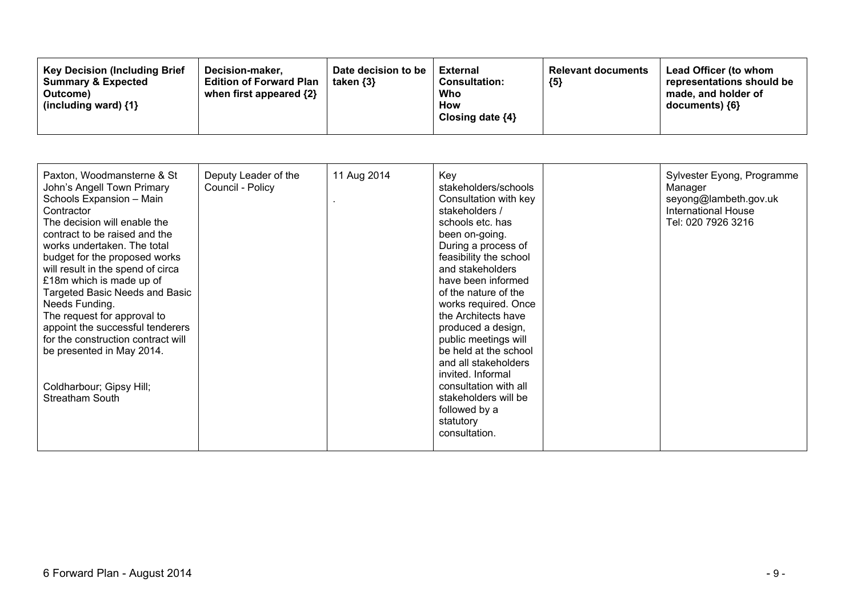| <b>Key Decision (Including Brief</b><br>Decision-maker.<br><b>Edition of Forward Plan</b><br><b>Summary &amp; Expected</b><br>when first appeared $\{2\}$<br>Outcome)<br>(including ward) $\{1\}$ | Date decision to be<br>taken $\{3\}$ | External<br><b>Consultation:</b><br>Who<br>How<br>Closing date ${4}$ | <b>Relevant documents</b><br>${5}$ | Lead Officer (to whom<br>representations should be<br>made, and holder of<br>documents) ${6}$ |
|---------------------------------------------------------------------------------------------------------------------------------------------------------------------------------------------------|--------------------------------------|----------------------------------------------------------------------|------------------------------------|-----------------------------------------------------------------------------------------------|
|---------------------------------------------------------------------------------------------------------------------------------------------------------------------------------------------------|--------------------------------------|----------------------------------------------------------------------|------------------------------------|-----------------------------------------------------------------------------------------------|

| Paxton, Woodmansterne & St<br>John's Angell Town Primary<br>Schools Expansion - Main<br>Contractor<br>The decision will enable the<br>contract to be raised and the<br>works undertaken. The total<br>budget for the proposed works<br>will result in the spend of circa<br>£18m which is made up of<br><b>Targeted Basic Needs and Basic</b><br>Needs Funding.<br>The request for approval to<br>appoint the successful tenderers<br>for the construction contract will<br>be presented in May 2014.<br>Coldharbour; Gipsy Hill;<br>Streatham South | Deputy Leader of the<br>Council - Policy | 11 Aug 2014 | Key<br>stakeholders/schools<br>Consultation with key<br>stakeholders /<br>schools etc. has<br>been on-going.<br>During a process of<br>feasibility the school<br>and stakeholders<br>have been informed<br>of the nature of the<br>works required. Once<br>the Architects have<br>produced a design,<br>public meetings will<br>be held at the school<br>and all stakeholders<br>invited. Informal<br>consultation with all<br>stakeholders will be<br>followed by a<br>statutory<br>consultation. |  | Sylvester Eyong, Programme<br>Manager<br>seyong@lambeth.gov.uk<br>International House<br>Tel: 020 7926 3216 |
|------------------------------------------------------------------------------------------------------------------------------------------------------------------------------------------------------------------------------------------------------------------------------------------------------------------------------------------------------------------------------------------------------------------------------------------------------------------------------------------------------------------------------------------------------|------------------------------------------|-------------|----------------------------------------------------------------------------------------------------------------------------------------------------------------------------------------------------------------------------------------------------------------------------------------------------------------------------------------------------------------------------------------------------------------------------------------------------------------------------------------------------|--|-------------------------------------------------------------------------------------------------------------|
|------------------------------------------------------------------------------------------------------------------------------------------------------------------------------------------------------------------------------------------------------------------------------------------------------------------------------------------------------------------------------------------------------------------------------------------------------------------------------------------------------------------------------------------------------|------------------------------------------|-------------|----------------------------------------------------------------------------------------------------------------------------------------------------------------------------------------------------------------------------------------------------------------------------------------------------------------------------------------------------------------------------------------------------------------------------------------------------------------------------------------------------|--|-------------------------------------------------------------------------------------------------------------|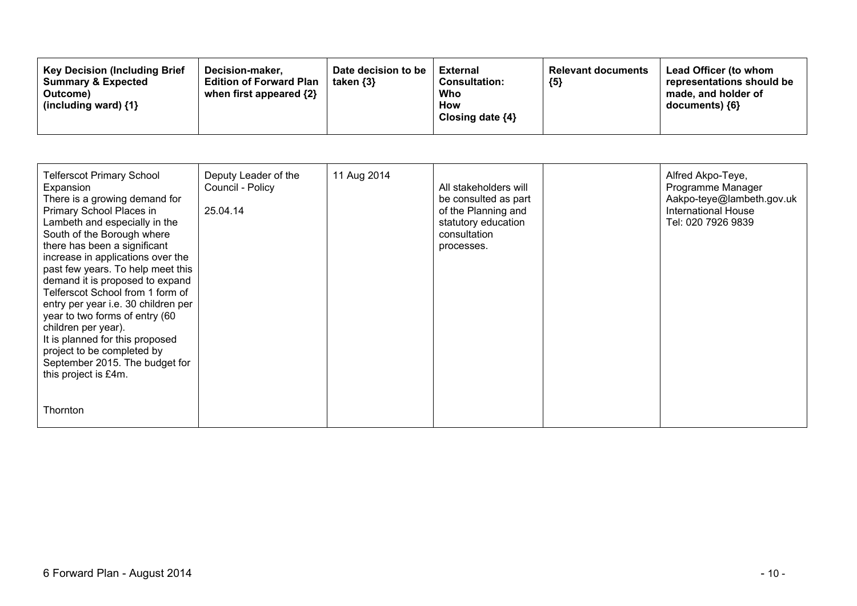| <b>Key Decision (Including Brief</b><br>Decision-maker.<br><b>Edition of Forward Plan</b><br><b>Summary &amp; Expected</b><br>when first appeared $\{2\}$<br>Outcome)<br>(including ward) $\{1\}$ | Date decision to be<br>taken $\{3\}$ | <b>External</b><br><b>Consultation:</b><br>Who<br>How<br>Closing date $\{4\}$ | <b>Relevant documents</b><br>${5}$ | Lead Officer (to whom<br>representations should be<br>made, and holder of<br>$documents)$ {6} |
|---------------------------------------------------------------------------------------------------------------------------------------------------------------------------------------------------|--------------------------------------|-------------------------------------------------------------------------------|------------------------------------|-----------------------------------------------------------------------------------------------|
|---------------------------------------------------------------------------------------------------------------------------------------------------------------------------------------------------|--------------------------------------|-------------------------------------------------------------------------------|------------------------------------|-----------------------------------------------------------------------------------------------|

| <b>Telferscot Primary School</b><br>Expansion<br>There is a growing demand for<br>Primary School Places in<br>Lambeth and especially in the<br>South of the Borough where<br>there has been a significant<br>increase in applications over the<br>past few years. To help meet this<br>demand it is proposed to expand<br>Telferscot School from 1 form of<br>entry per year i.e. 30 children per<br>year to two forms of entry (60<br>children per year).<br>It is planned for this proposed<br>project to be completed by<br>September 2015. The budget for<br>this project is £4m. | Deputy Leader of the<br>Council - Policy<br>25.04.14 | 11 Aug 2014 | All stakeholders will<br>be consulted as part<br>of the Planning and<br>statutory education<br>consultation<br>processes. | Alfred Akpo-Teye,<br>Programme Manager<br>Aakpo-teye@lambeth.gov.uk<br><b>International House</b><br>Tel: 020 7926 9839 |
|---------------------------------------------------------------------------------------------------------------------------------------------------------------------------------------------------------------------------------------------------------------------------------------------------------------------------------------------------------------------------------------------------------------------------------------------------------------------------------------------------------------------------------------------------------------------------------------|------------------------------------------------------|-------------|---------------------------------------------------------------------------------------------------------------------------|-------------------------------------------------------------------------------------------------------------------------|
| <b>Thornton</b>                                                                                                                                                                                                                                                                                                                                                                                                                                                                                                                                                                       |                                                      |             |                                                                                                                           |                                                                                                                         |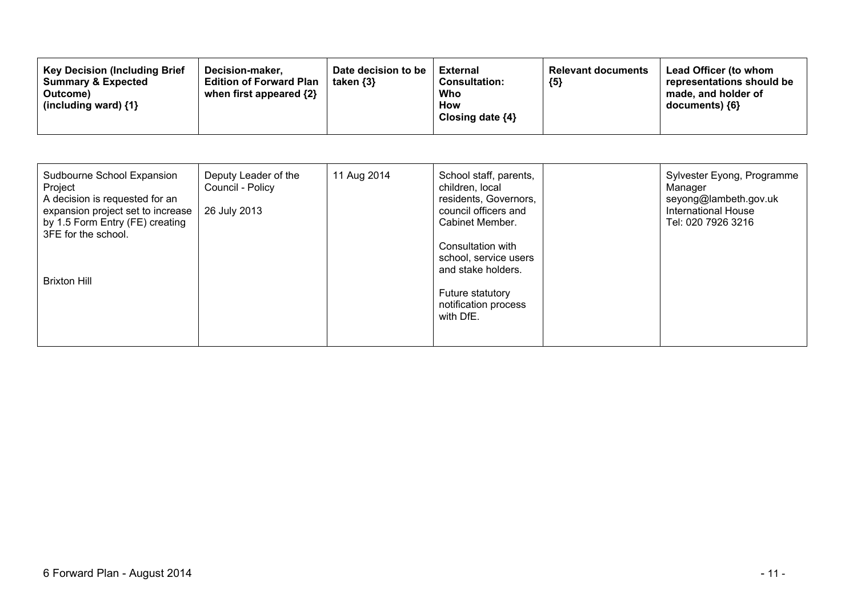| Sudbourne School Expansion<br>Project<br>A decision is requested for an<br>expansion project set to increase<br>by 1.5 Form Entry (FE) creating<br>3FE for the school. | Deputy Leader of the<br>Council - Policy<br>26 July 2013 | 11 Aug 2014 | School staff, parents,<br>children, local<br>residents, Governors,<br>council officers and<br>Cabinet Member.<br>Consultation with<br>school, service users<br>and stake holders. | Sylvester Eyong, Programme<br>Manager<br>seyong@lambeth.gov.uk<br>International House<br>Tel: 020 7926 3216 |
|------------------------------------------------------------------------------------------------------------------------------------------------------------------------|----------------------------------------------------------|-------------|-----------------------------------------------------------------------------------------------------------------------------------------------------------------------------------|-------------------------------------------------------------------------------------------------------------|
| <b>Brixton Hill</b>                                                                                                                                                    |                                                          |             | <b>Future statutory</b><br>notification process<br>with DfE.                                                                                                                      |                                                                                                             |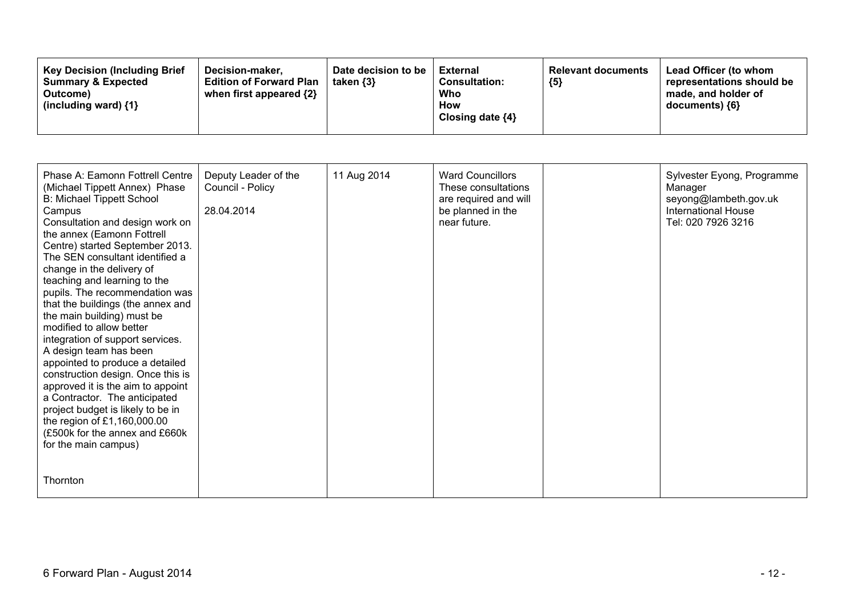| <b>Key Decision (Including Brief</b><br>Decision-maker.<br><b>Edition of Forward Plan</b><br><b>Summary &amp; Expected</b><br>when first appeared $\{2\}$<br>Outcome)<br>(including ward) $\{1\}$ | Date decision to be<br>taken $\{3\}$ | External<br><b>Consultation:</b><br>Who<br>How<br>Closing date ${4}$ | <b>Relevant documents</b><br>${5}$ | Lead Officer (to whom<br>representations should be<br>made, and holder of<br>documents) ${6}$ |
|---------------------------------------------------------------------------------------------------------------------------------------------------------------------------------------------------|--------------------------------------|----------------------------------------------------------------------|------------------------------------|-----------------------------------------------------------------------------------------------|
|---------------------------------------------------------------------------------------------------------------------------------------------------------------------------------------------------|--------------------------------------|----------------------------------------------------------------------|------------------------------------|-----------------------------------------------------------------------------------------------|

| Phase A: Eamonn Fottrell Centre<br>(Michael Tippett Annex) Phase<br><b>B: Michael Tippett School</b><br>Campus<br>Consultation and design work on<br>the annex (Eamonn Fottrell<br>Centre) started September 2013.<br>The SEN consultant identified a<br>change in the delivery of<br>teaching and learning to the<br>pupils. The recommendation was<br>that the buildings (the annex and<br>the main building) must be<br>modified to allow better<br>integration of support services.<br>A design team has been<br>appointed to produce a detailed<br>construction design. Once this is<br>approved it is the aim to appoint<br>a Contractor. The anticipated<br>project budget is likely to be in<br>the region of £1,160,000.00<br>(£500k for the annex and £660k<br>for the main campus) | Deputy Leader of the<br>Council - Policy<br>28.04.2014 | 11 Aug 2014 | <b>Ward Councillors</b><br>These consultations<br>are required and will<br>be planned in the<br>near future. | Sylvester Eyong, Programme<br>Manager<br>seyong@lambeth.gov.uk<br><b>International House</b><br>Tel: 020 7926 3216 |
|-----------------------------------------------------------------------------------------------------------------------------------------------------------------------------------------------------------------------------------------------------------------------------------------------------------------------------------------------------------------------------------------------------------------------------------------------------------------------------------------------------------------------------------------------------------------------------------------------------------------------------------------------------------------------------------------------------------------------------------------------------------------------------------------------|--------------------------------------------------------|-------------|--------------------------------------------------------------------------------------------------------------|--------------------------------------------------------------------------------------------------------------------|
| Thornton                                                                                                                                                                                                                                                                                                                                                                                                                                                                                                                                                                                                                                                                                                                                                                                      |                                                        |             |                                                                                                              |                                                                                                                    |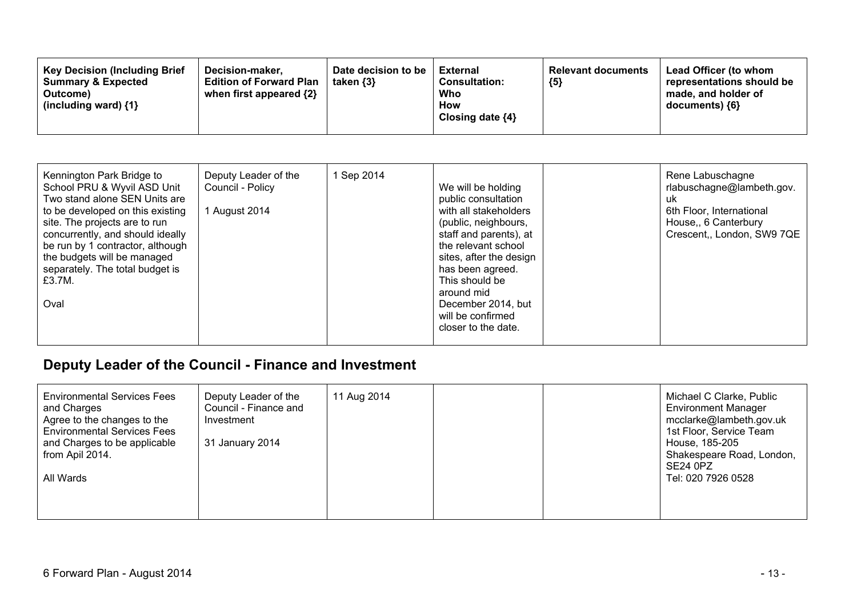| <b>Key Decision (Including Brief)</b><br>Date decision to be<br>Decision-maker,<br><b>Summary &amp; Expected</b><br><b>Edition of Forward Plan</b><br>taken $\{3\}$<br>when first appeared {2}<br>Outcome)<br>(including ward) $\{1\}$ | External<br><b>Consultation:</b><br>Who<br>How<br>Closing date $\{4\}$ | <b>Relevant documents</b><br>${5}$ | <b>Lead Officer (to whom</b><br>representations should be<br>made, and holder of<br>documents) ${6}$ |
|----------------------------------------------------------------------------------------------------------------------------------------------------------------------------------------------------------------------------------------|------------------------------------------------------------------------|------------------------------------|------------------------------------------------------------------------------------------------------|
|----------------------------------------------------------------------------------------------------------------------------------------------------------------------------------------------------------------------------------------|------------------------------------------------------------------------|------------------------------------|------------------------------------------------------------------------------------------------------|

| Kennington Park Bridge to<br>School PRU & Wyvil ASD Unit<br>Two stand alone SEN Units are<br>to be developed on this existing<br>site. The projects are to run<br>concurrently, and should ideally<br>be run by 1 contractor, although<br>the budgets will be managed<br>separately. The total budget is<br>£3.7M.<br>Oval | Deputy Leader of the<br>Council - Policy<br>1 August 2014 | 1 Sep 2014 | We will be holding<br>public consultation<br>with all stakeholders<br>(public, neighbours,<br>staff and parents), at<br>the relevant school<br>sites, after the design<br>has been agreed.<br>This should be<br>around mid<br>December 2014, but<br>will be confirmed<br>closer to the date. |  | Rene Labuschagne<br>rlabuschagne@lambeth.gov.<br>uk<br>6th Floor, International<br>House, 6 Canterbury<br>Crescent,, London, SW9 7QE |
|----------------------------------------------------------------------------------------------------------------------------------------------------------------------------------------------------------------------------------------------------------------------------------------------------------------------------|-----------------------------------------------------------|------------|----------------------------------------------------------------------------------------------------------------------------------------------------------------------------------------------------------------------------------------------------------------------------------------------|--|--------------------------------------------------------------------------------------------------------------------------------------|
|----------------------------------------------------------------------------------------------------------------------------------------------------------------------------------------------------------------------------------------------------------------------------------------------------------------------------|-----------------------------------------------------------|------------|----------------------------------------------------------------------------------------------------------------------------------------------------------------------------------------------------------------------------------------------------------------------------------------------|--|--------------------------------------------------------------------------------------------------------------------------------------|

# **Deputy Leader of the Council - Finance and Investment**

| <b>Environmental Services Fees</b><br>Deputy Leader of the<br>Council - Finance and<br>and Charges<br>Agree to the changes to the<br>Investment<br><b>Environmental Services Fees</b><br>and Charges to be applicable<br>31 January 2014<br>from Apil 2014.<br>All Wards | 11 Aug 2014 |  |  | Michael C Clarke, Public<br><b>Environment Manager</b><br>mcclarke@lambeth.gov.uk<br>1st Floor, Service Team<br>House, 185-205<br>Shakespeare Road, London,<br><b>SE24 0PZ</b><br>Tel: 020 7926 0528 |
|--------------------------------------------------------------------------------------------------------------------------------------------------------------------------------------------------------------------------------------------------------------------------|-------------|--|--|------------------------------------------------------------------------------------------------------------------------------------------------------------------------------------------------------|
|--------------------------------------------------------------------------------------------------------------------------------------------------------------------------------------------------------------------------------------------------------------------------|-------------|--|--|------------------------------------------------------------------------------------------------------------------------------------------------------------------------------------------------------|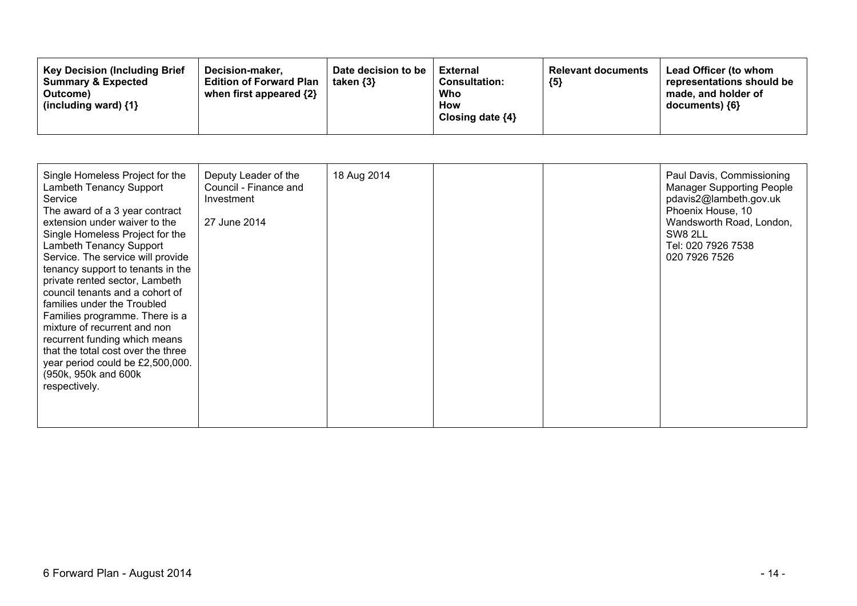| <b>Key Decision (Including Brief)</b><br>Decision-maker.<br><b>Summary &amp; Expected</b><br><b>Edition of Forward Plan</b><br>when first appeared {2}<br>Outcome)<br>(including ward) $\{1\}$ | Date decision to be<br>taken $\{3\}$ | External<br><b>Consultation:</b><br>Who<br>How<br>Closing date $\{4\}$ | <b>Relevant documents</b><br>${5}$ | Lead Officer (to whom<br>representations should be<br>made, and holder of<br>$documents)$ {6} |
|------------------------------------------------------------------------------------------------------------------------------------------------------------------------------------------------|--------------------------------------|------------------------------------------------------------------------|------------------------------------|-----------------------------------------------------------------------------------------------|
|------------------------------------------------------------------------------------------------------------------------------------------------------------------------------------------------|--------------------------------------|------------------------------------------------------------------------|------------------------------------|-----------------------------------------------------------------------------------------------|

| Single Homeless Project for the<br>Lambeth Tenancy Support<br>Service<br>The award of a 3 year contract<br>extension under waiver to the<br>Single Homeless Project for the<br>Lambeth Tenancy Support<br>Service. The service will provide<br>tenancy support to tenants in the<br>private rented sector, Lambeth<br>council tenants and a cohort of<br>families under the Troubled<br>Families programme. There is a<br>mixture of recurrent and non<br>recurrent funding which means<br>that the total cost over the three<br>year period could be £2,500,000.<br>(950k, 950k and 600k)<br>respectively. | Deputy Leader of the<br>Council - Finance and<br>Investment<br>27 June 2014 | 18 Aug 2014 |  |  | Paul Davis, Commissioning<br><b>Manager Supporting People</b><br>pdavis2@lambeth.gov.uk<br>Phoenix House, 10<br>Wandsworth Road, London,<br>SW8 2LL<br>Tel: 020 7926 7538<br>020 7926 7526 |
|-------------------------------------------------------------------------------------------------------------------------------------------------------------------------------------------------------------------------------------------------------------------------------------------------------------------------------------------------------------------------------------------------------------------------------------------------------------------------------------------------------------------------------------------------------------------------------------------------------------|-----------------------------------------------------------------------------|-------------|--|--|--------------------------------------------------------------------------------------------------------------------------------------------------------------------------------------------|
|-------------------------------------------------------------------------------------------------------------------------------------------------------------------------------------------------------------------------------------------------------------------------------------------------------------------------------------------------------------------------------------------------------------------------------------------------------------------------------------------------------------------------------------------------------------------------------------------------------------|-----------------------------------------------------------------------------|-------------|--|--|--------------------------------------------------------------------------------------------------------------------------------------------------------------------------------------------|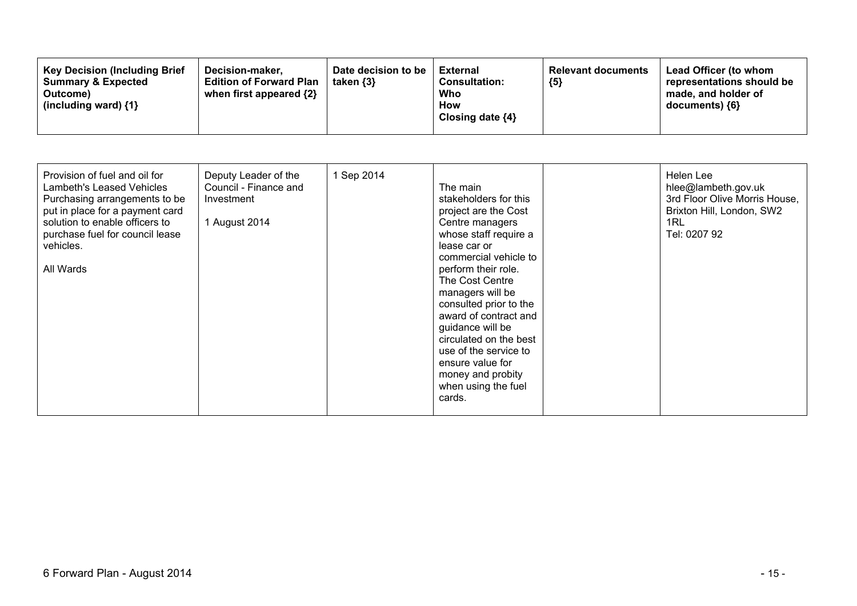| Provision of fuel and oil for<br>Deputy Leader of the<br>Council - Finance and<br>Lambeth's Leased Vehicles<br>Purchasing arrangements to be<br>Investment<br>put in place for a payment card<br>solution to enable officers to<br>1 August 2014<br>purchase fuel for council lease<br>vehicles.<br>All Wards | 1 Sep 2014 | The main<br>stakeholders for this<br>project are the Cost<br>Centre managers<br>whose staff require a<br>lease car or<br>commercial vehicle to<br>perform their role.<br>The Cost Centre<br>managers will be<br>consulted prior to the<br>award of contract and<br>guidance will be<br>circulated on the best<br>use of the service to<br>ensure value for<br>money and probity<br>when using the fuel<br>cards. |  | Helen Lee<br>hlee@lambeth.gov.uk<br>3rd Floor Olive Morris House,<br>Brixton Hill, London, SW2<br>1RL<br>Tel: 0207 92 |
|---------------------------------------------------------------------------------------------------------------------------------------------------------------------------------------------------------------------------------------------------------------------------------------------------------------|------------|------------------------------------------------------------------------------------------------------------------------------------------------------------------------------------------------------------------------------------------------------------------------------------------------------------------------------------------------------------------------------------------------------------------|--|-----------------------------------------------------------------------------------------------------------------------|
|---------------------------------------------------------------------------------------------------------------------------------------------------------------------------------------------------------------------------------------------------------------------------------------------------------------|------------|------------------------------------------------------------------------------------------------------------------------------------------------------------------------------------------------------------------------------------------------------------------------------------------------------------------------------------------------------------------------------------------------------------------|--|-----------------------------------------------------------------------------------------------------------------------|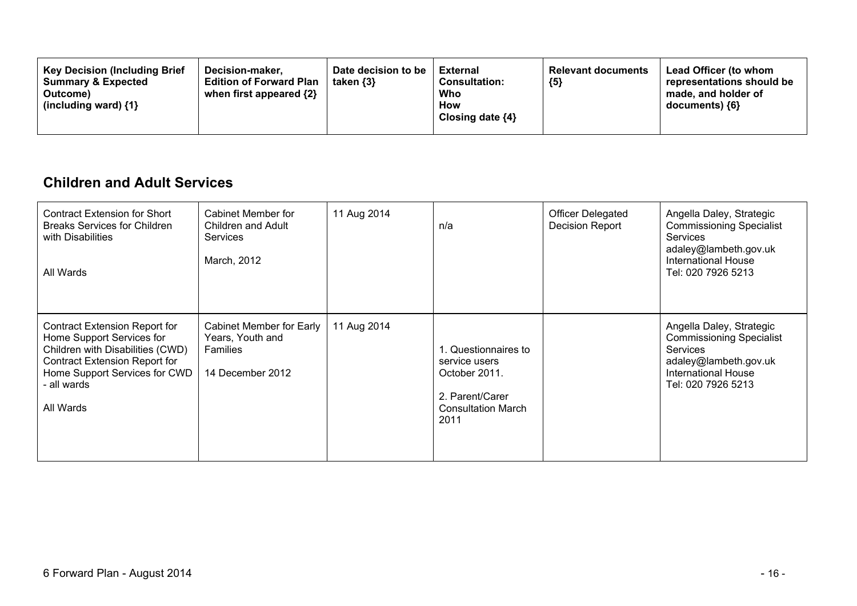| <b>Key Decision (Including Brief</b><br>Decision-maker.<br><b>Summary &amp; Expected</b><br><b>Edition of Forward Plan</b><br>when first appeared $\{2\}$<br>Outcome)<br>(including ward) $\{1\}$ | Date decision to be<br>taken $\{3\}$ | External<br><b>Consultation:</b><br>Who<br>How<br>Closing date $\{4\}$ | <b>Relevant documents</b><br>${5}$ | Lead Officer (to whom<br>representations should be<br>made, and holder of<br>documents) {6} |
|---------------------------------------------------------------------------------------------------------------------------------------------------------------------------------------------------|--------------------------------------|------------------------------------------------------------------------|------------------------------------|---------------------------------------------------------------------------------------------|
|---------------------------------------------------------------------------------------------------------------------------------------------------------------------------------------------------|--------------------------------------|------------------------------------------------------------------------|------------------------------------|---------------------------------------------------------------------------------------------|

#### **Children and Adult Services**

| <b>Contract Extension for Short</b><br><b>Breaks Services for Children</b><br>with Disabilities<br>All Wards                                                                                             | Cabinet Member for<br>Children and Adult<br><b>Services</b><br>March, 2012   | 11 Aug 2014 | n/a                                                                                                           | <b>Officer Delegated</b><br>Decision Report | Angella Daley, Strategic<br><b>Commissioning Specialist</b><br><b>Services</b><br>adaley@lambeth.gov.uk<br><b>International House</b><br>Tel: 020 7926 5213 |
|----------------------------------------------------------------------------------------------------------------------------------------------------------------------------------------------------------|------------------------------------------------------------------------------|-------------|---------------------------------------------------------------------------------------------------------------|---------------------------------------------|-------------------------------------------------------------------------------------------------------------------------------------------------------------|
| <b>Contract Extension Report for</b><br>Home Support Services for<br>Children with Disabilities (CWD)<br><b>Contract Extension Report for</b><br>Home Support Services for CWD<br>all wards<br>All Wards | Cabinet Member for Early<br>Years, Youth and<br>Families<br>14 December 2012 | 11 Aug 2014 | . Questionnaires to<br>service users<br>October 2011.<br>2. Parent/Carer<br><b>Consultation March</b><br>2011 |                                             | Angella Daley, Strategic<br><b>Commissioning Specialist</b><br><b>Services</b><br>adaley@lambeth.gov.uk<br><b>International House</b><br>Tel: 020 7926 5213 |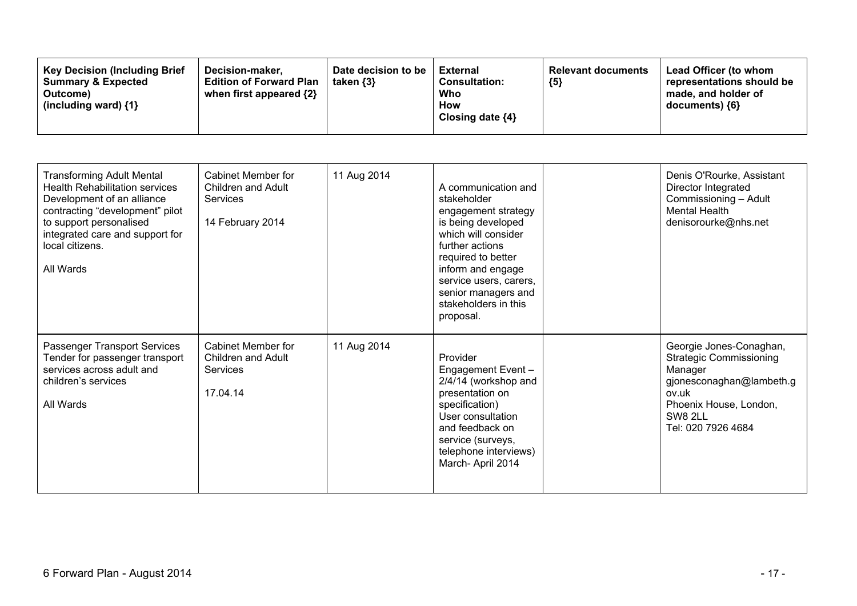| <b>Transforming Adult Mental</b><br><b>Health Rehabilitation services</b><br>Development of an alliance<br>contracting "development" pilot<br>to support personalised<br>integrated care and support for<br>local citizens.<br>All Wards | <b>Cabinet Member for</b><br>Children and Adult<br><b>Services</b><br>14 February 2014 | 11 Aug 2014 | A communication and<br>stakeholder<br>engagement strategy<br>is being developed<br>which will consider<br>further actions<br>required to better<br>inform and engage<br>service users, carers,<br>senior managers and<br>stakeholders in this<br>proposal. | Denis O'Rourke, Assistant<br>Director Integrated<br>Commissioning - Adult<br><b>Mental Health</b><br>denisorourke@nhs.net                                            |
|------------------------------------------------------------------------------------------------------------------------------------------------------------------------------------------------------------------------------------------|----------------------------------------------------------------------------------------|-------------|------------------------------------------------------------------------------------------------------------------------------------------------------------------------------------------------------------------------------------------------------------|----------------------------------------------------------------------------------------------------------------------------------------------------------------------|
| Passenger Transport Services<br>Tender for passenger transport<br>services across adult and<br>children's services<br>All Wards                                                                                                          | Cabinet Member for<br>Children and Adult<br>Services<br>17.04.14                       | 11 Aug 2014 | Provider<br>Engagement Event-<br>2/4/14 (workshop and<br>presentation on<br>specification)<br>User consultation<br>and feedback on<br>service (surveys,<br>telephone interviews)<br>March-April 2014                                                       | Georgie Jones-Conaghan,<br><b>Strategic Commissioning</b><br>Manager<br>gjonesconaghan@lambeth.g<br>ov.uk<br>Phoenix House, London,<br>SW8 2LL<br>Tel: 020 7926 4684 |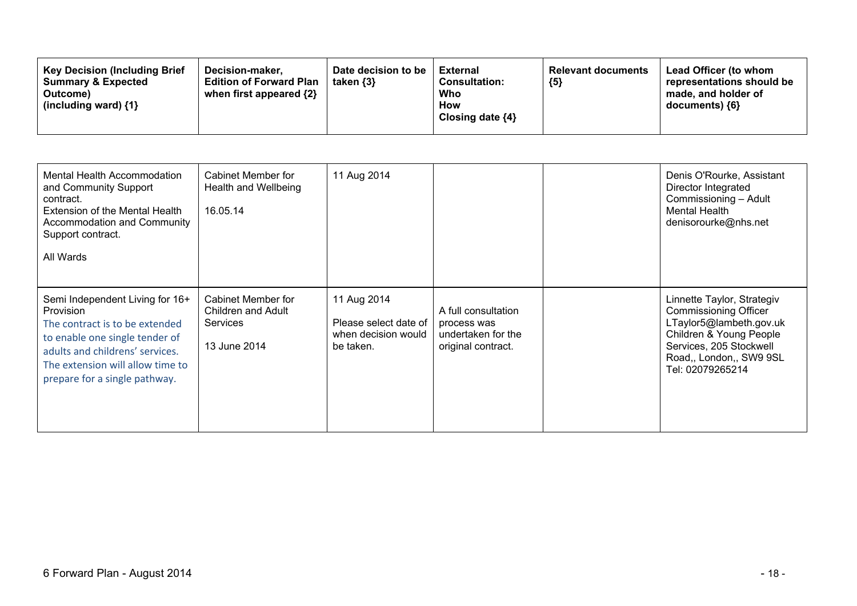| Mental Health Accommodation<br>and Community Support<br>contract.<br>Extension of the Mental Health<br>Accommodation and Community<br>Support contract.<br>All Wards                                                            | Cabinet Member for<br>Health and Wellbeing<br>16.05.14               | 11 Aug 2014                                                              |                                                                                | Denis O'Rourke, Assistant<br>Director Integrated<br>Commissioning - Adult<br>Mental Health<br>denisorourke@nhs.net                                                                         |
|---------------------------------------------------------------------------------------------------------------------------------------------------------------------------------------------------------------------------------|----------------------------------------------------------------------|--------------------------------------------------------------------------|--------------------------------------------------------------------------------|--------------------------------------------------------------------------------------------------------------------------------------------------------------------------------------------|
| Semi Independent Living for 16+<br><b>Provision</b><br>The contract is to be extended<br>to enable one single tender of<br>adults and childrens' services.<br>The extension will allow time to<br>prepare for a single pathway. | Cabinet Member for<br>Children and Adult<br>Services<br>13 June 2014 | 11 Aug 2014<br>Please select date of<br>when decision would<br>be taken. | A full consultation<br>process was<br>undertaken for the<br>original contract. | Linnette Taylor, Strategiv<br><b>Commissioning Officer</b><br>LTaylor5@lambeth.gov.uk<br>Children & Young People<br>Services, 205 Stockwell<br>Road,, London,, SW9 9SL<br>Tel: 02079265214 |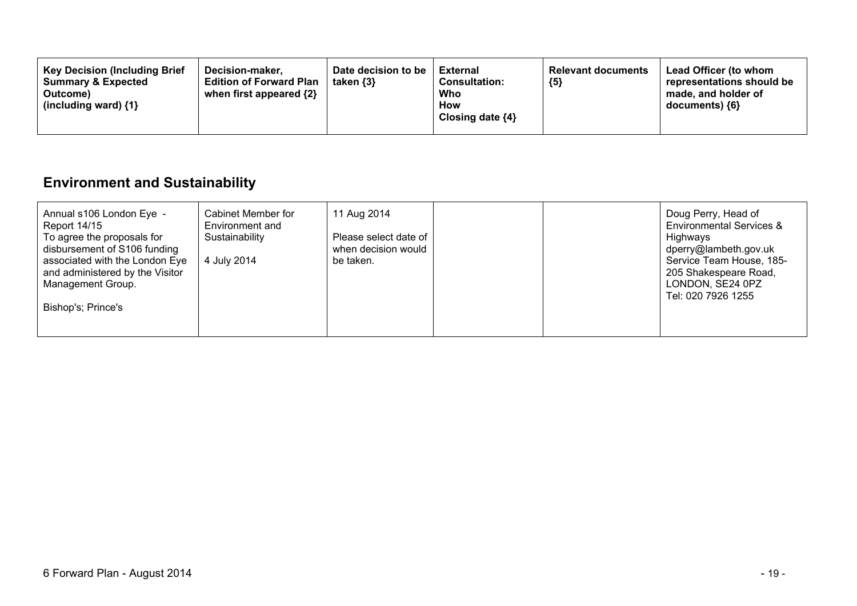| <b>Key Decision (Including Brief</b><br>Date decision to be<br>Decision-maker.<br><b>Summary &amp; Expected</b><br>taken $\{3\}$<br><b>Edition of Forward Plan</b><br>when first appeared $\{2\}$<br>Outcome)<br>(including ward) $\{1\}$ | External<br><b>Relevant documents</b><br>${5}$<br><b>Consultation:</b><br>Who<br>How<br>Closing date $\{4\}$ | <b>Lead Officer (to whom</b><br>representations should be<br>made, and holder of<br>documents) {6} |
|-------------------------------------------------------------------------------------------------------------------------------------------------------------------------------------------------------------------------------------------|--------------------------------------------------------------------------------------------------------------|----------------------------------------------------------------------------------------------------|
|-------------------------------------------------------------------------------------------------------------------------------------------------------------------------------------------------------------------------------------------|--------------------------------------------------------------------------------------------------------------|----------------------------------------------------------------------------------------------------|

# **Environment and Sustainability**

| Cabinet Member for<br>Annual s106 London Eye -<br><b>Report 14/15</b><br>Environment and<br>To agree the proposals for<br>Sustainability<br>disbursement of S106 funding<br>associated with the London Eye<br>4 July 2014<br>and administered by the Visitor<br>Management Group.<br>Bishop's; Prince's | 11 Aug 2014<br>Please select date of<br>when decision would<br>be taken. | Doug Perry, Head of<br><b>Environmental Services &amp;</b><br>Highways<br>dperry@lambeth.gov.uk<br>Service Team House, 185-<br>205 Shakespeare Road,<br>LONDON, SE24 0PZ<br>Tel: 020 7926 1255 |
|---------------------------------------------------------------------------------------------------------------------------------------------------------------------------------------------------------------------------------------------------------------------------------------------------------|--------------------------------------------------------------------------|------------------------------------------------------------------------------------------------------------------------------------------------------------------------------------------------|
|---------------------------------------------------------------------------------------------------------------------------------------------------------------------------------------------------------------------------------------------------------------------------------------------------------|--------------------------------------------------------------------------|------------------------------------------------------------------------------------------------------------------------------------------------------------------------------------------------|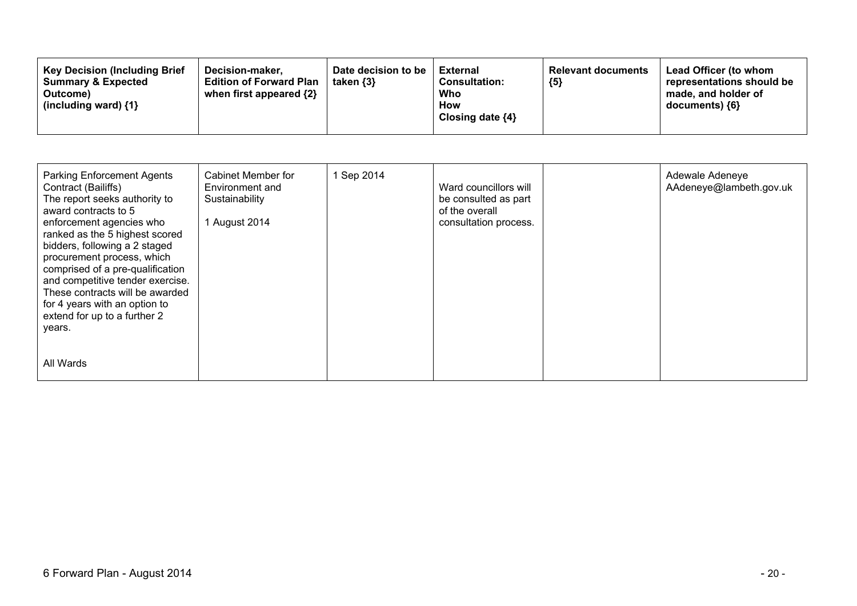| <b>Key Decision (Including Brief</b><br>Decision-maker,<br><b>Summary &amp; Expected</b><br><b>Edition of Forward Plan</b><br>when first appeared {2}<br>Outcome)<br>(including ward) $\{1\}$ | Date decision to be<br>taken $\{3\}$ | External<br><b>Consultation:</b><br>Who<br>How<br>Closing date $\{4\}$ | <b>Relevant documents</b><br>${5}$ | Lead Officer (to whom<br>representations should be<br>made, and holder of<br>documents) {6} |
|-----------------------------------------------------------------------------------------------------------------------------------------------------------------------------------------------|--------------------------------------|------------------------------------------------------------------------|------------------------------------|---------------------------------------------------------------------------------------------|
|-----------------------------------------------------------------------------------------------------------------------------------------------------------------------------------------------|--------------------------------------|------------------------------------------------------------------------|------------------------------------|---------------------------------------------------------------------------------------------|

| <b>Parking Enforcement Agents</b><br>Contract (Bailiffs)<br>The report seeks authority to<br>award contracts to 5<br>enforcement agencies who<br>ranked as the 5 highest scored<br>bidders, following a 2 staged<br>procurement process, which<br>comprised of a pre-qualification<br>and competitive tender exercise.<br>These contracts will be awarded<br>for 4 years with an option to<br>extend for up to a further 2<br>years. | Cabinet Member for<br>Environment and<br>Sustainability<br>1 August 2014 | 1 Sep 2014 | Ward councillors will<br>be consulted as part<br>of the overall<br>consultation process. | Adewale Adeneye<br>AAdeneye@lambeth.gov.uk |
|--------------------------------------------------------------------------------------------------------------------------------------------------------------------------------------------------------------------------------------------------------------------------------------------------------------------------------------------------------------------------------------------------------------------------------------|--------------------------------------------------------------------------|------------|------------------------------------------------------------------------------------------|--------------------------------------------|
| All Wards                                                                                                                                                                                                                                                                                                                                                                                                                            |                                                                          |            |                                                                                          |                                            |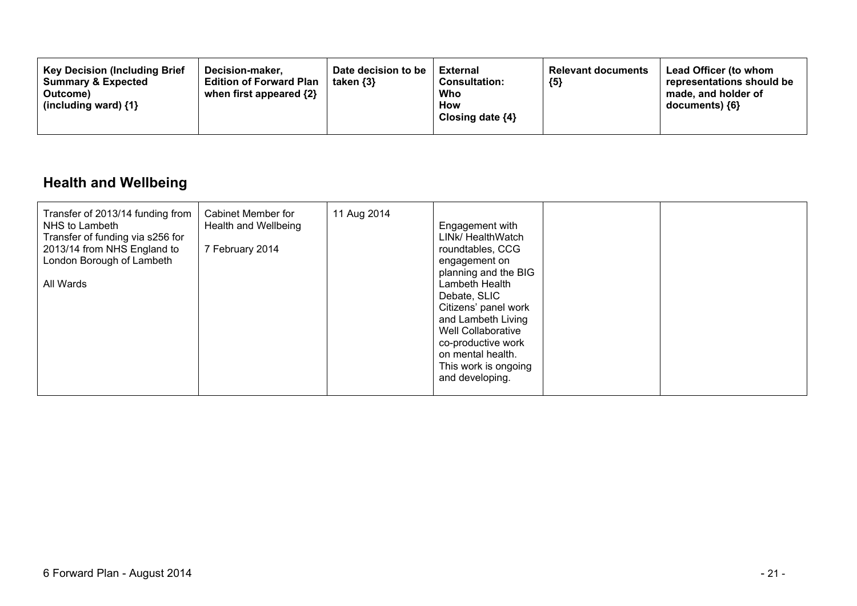| <b>Key Decision (Including Brief</b><br>Decision-maker.<br><b>Summary &amp; Expected</b><br>Outcome)<br>(including ward) $\{1\}$ | Date decision to be<br>taken $\{3\}$<br><b>Edition of Forward Plan</b><br>when first appeared {2} | <b>External</b><br><b>Consultation:</b><br>Who<br>How<br>Closing date $\{4\}$ | <b>Relevant documents</b><br>${5}$ | Lead Officer (to whom<br>representations should be<br>made, and holder of<br>$documents)$ {6} |
|----------------------------------------------------------------------------------------------------------------------------------|---------------------------------------------------------------------------------------------------|-------------------------------------------------------------------------------|------------------------------------|-----------------------------------------------------------------------------------------------|
|----------------------------------------------------------------------------------------------------------------------------------|---------------------------------------------------------------------------------------------------|-------------------------------------------------------------------------------|------------------------------------|-----------------------------------------------------------------------------------------------|

## **Health and Wellbeing**

| Transfer of 2013/14 funding from<br>NHS to Lambeth<br>Transfer of funding via s256 for<br>2013/14 from NHS England to<br>London Borough of Lambeth<br>All Wards | Cabinet Member for<br>Health and Wellbeing<br>7 February 2014 | 11 Aug 2014 | Engagement with<br>LINK/ HealthWatch<br>roundtables, CCG<br>engagement on<br>planning and the BIG<br>Lambeth Health<br>Debate, SLIC<br>Citizens' panel work<br>and Lambeth Living<br>Well Collaborative<br>co-productive work<br>on mental health.<br>This work is ongoing<br>and developing. |  |  |
|-----------------------------------------------------------------------------------------------------------------------------------------------------------------|---------------------------------------------------------------|-------------|-----------------------------------------------------------------------------------------------------------------------------------------------------------------------------------------------------------------------------------------------------------------------------------------------|--|--|
|-----------------------------------------------------------------------------------------------------------------------------------------------------------------|---------------------------------------------------------------|-------------|-----------------------------------------------------------------------------------------------------------------------------------------------------------------------------------------------------------------------------------------------------------------------------------------------|--|--|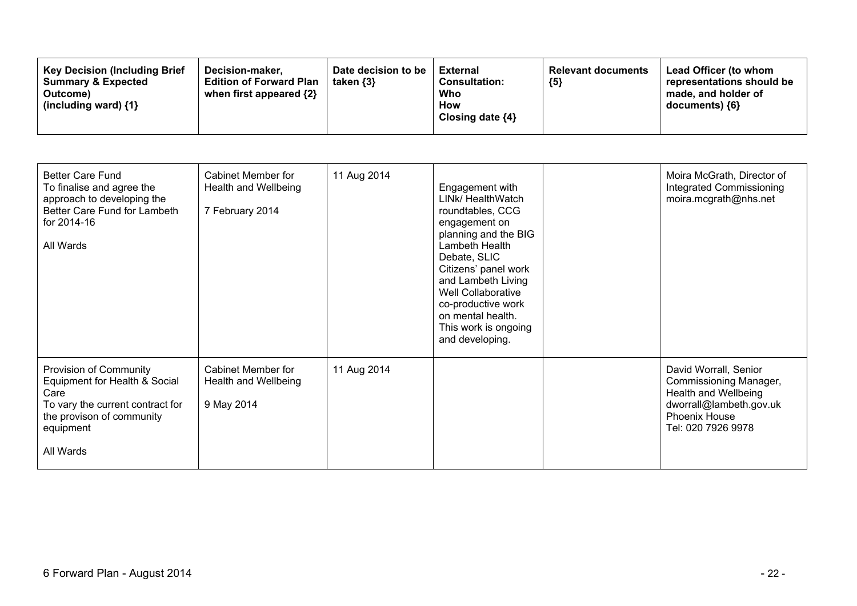| <b>Key Decision (Including Brief</b><br>Decision-maker.<br><b>Edition of Forward Plan</b><br><b>Summary &amp; Expected</b><br>when first appeared $\{2\}$<br>Outcome)<br>(including ward) $\{1\}$ | Date decision to be<br>taken $\{3\}$ | <b>External</b><br><b>Consultation:</b><br>Who<br>How<br>Closing date $\{4\}$ | <b>Relevant documents</b><br>${5}$ | Lead Officer (to whom<br>representations should be<br>made, and holder of<br>$documents)$ {6} |
|---------------------------------------------------------------------------------------------------------------------------------------------------------------------------------------------------|--------------------------------------|-------------------------------------------------------------------------------|------------------------------------|-----------------------------------------------------------------------------------------------|
|---------------------------------------------------------------------------------------------------------------------------------------------------------------------------------------------------|--------------------------------------|-------------------------------------------------------------------------------|------------------------------------|-----------------------------------------------------------------------------------------------|

| <b>Better Care Fund</b><br>To finalise and agree the<br>approach to developing the<br>Better Care Fund for Lambeth<br>for 2014-16<br>All Wards             | Cabinet Member for<br>Health and Wellbeing<br>7 February 2014 | 11 Aug 2014 | Engagement with<br>LINk/ HealthWatch<br>roundtables, CCG<br>engagement on<br>planning and the BIG<br>Lambeth Health<br>Debate, SLIC<br>Citizens' panel work<br>and Lambeth Living<br><b>Well Collaborative</b><br>co-productive work<br>on mental health.<br>This work is ongoing<br>and developing. | Moira McGrath, Director of<br><b>Integrated Commissioning</b><br>moira.mcgrath@nhs.net                                                           |
|------------------------------------------------------------------------------------------------------------------------------------------------------------|---------------------------------------------------------------|-------------|------------------------------------------------------------------------------------------------------------------------------------------------------------------------------------------------------------------------------------------------------------------------------------------------------|--------------------------------------------------------------------------------------------------------------------------------------------------|
| Provision of Community<br>Equipment for Health & Social<br>Care<br>To vary the current contract for<br>the provison of community<br>equipment<br>All Wards | Cabinet Member for<br>Health and Wellbeing<br>9 May 2014      | 11 Aug 2014 |                                                                                                                                                                                                                                                                                                      | David Worrall, Senior<br>Commissioning Manager,<br>Health and Wellbeing<br>dworrall@lambeth.gov.uk<br><b>Phoenix House</b><br>Tel: 020 7926 9978 |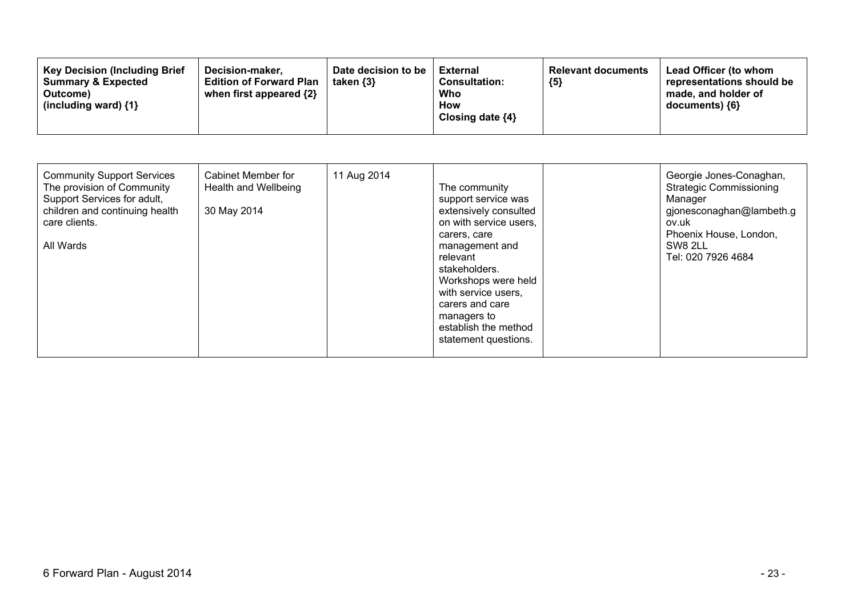| <b>Key Decision (Including Brief)</b><br>Decision-maker,<br><b>Summary &amp; Expected</b><br><b>Edition of Forward Plan</b><br>when first appeared {2}<br>Outcome)<br>(including ward) $\{1\}$ | Date decision to be<br>taken $\{3\}$ | <b>External</b><br><b>Consultation:</b><br>Who<br>How<br>Closing date $\{4\}$ | <b>Relevant documents</b><br>${5}$ | <b>Lead Officer (to whom</b><br>representations should be<br>made, and holder of<br>documents) ${6}$ |
|------------------------------------------------------------------------------------------------------------------------------------------------------------------------------------------------|--------------------------------------|-------------------------------------------------------------------------------|------------------------------------|------------------------------------------------------------------------------------------------------|
|------------------------------------------------------------------------------------------------------------------------------------------------------------------------------------------------|--------------------------------------|-------------------------------------------------------------------------------|------------------------------------|------------------------------------------------------------------------------------------------------|

| <b>Community Support Services</b><br>The provision of Community<br>Support Services for adult,<br>children and continuing health<br>care clients.<br>All Wards | Cabinet Member for<br>Health and Wellbeing<br>30 May 2014 | 11 Aug 2014 | The community<br>support service was<br>extensively consulted<br>on with service users,<br>carers, care<br>management and<br>relevant<br>stakeholders.<br>Workshops were held<br>with service users,<br>carers and care<br>managers to<br>establish the method<br>statement questions. |  | Georgie Jones-Conaghan,<br><b>Strategic Commissioning</b><br>Manager<br>gjonesconaghan@lambeth.g<br>ov.uk<br>Phoenix House, London,<br>SW8 2LL<br>Tel: 020 7926 4684 |
|----------------------------------------------------------------------------------------------------------------------------------------------------------------|-----------------------------------------------------------|-------------|----------------------------------------------------------------------------------------------------------------------------------------------------------------------------------------------------------------------------------------------------------------------------------------|--|----------------------------------------------------------------------------------------------------------------------------------------------------------------------|
|----------------------------------------------------------------------------------------------------------------------------------------------------------------|-----------------------------------------------------------|-------------|----------------------------------------------------------------------------------------------------------------------------------------------------------------------------------------------------------------------------------------------------------------------------------------|--|----------------------------------------------------------------------------------------------------------------------------------------------------------------------|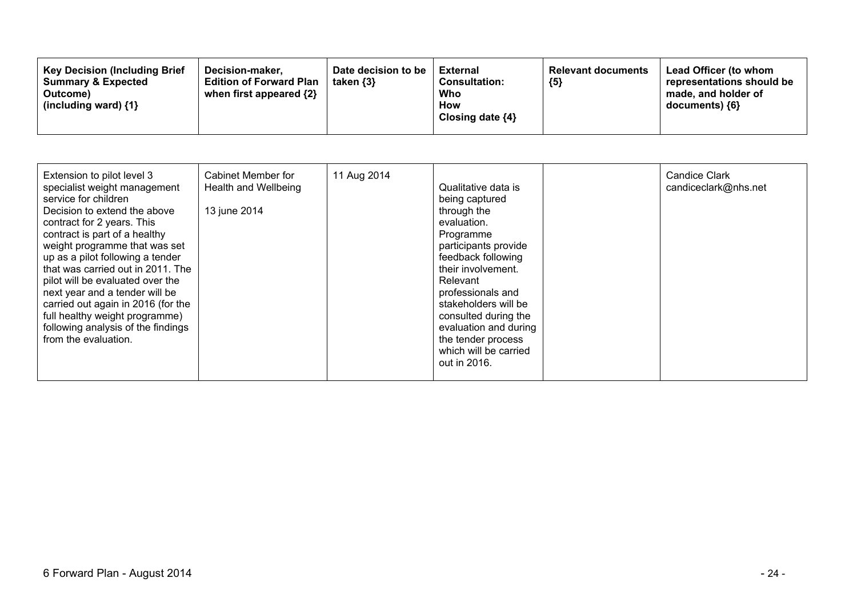| <b>Key Decision (Including Brief</b><br>Decision-maker,<br><b>Summary &amp; Expected</b><br><b>Edition of Forward Plan</b><br>when first appeared {2}<br>Outcome)<br>(including ward) $\{1\}$ | Date decision to be<br>taken $\{3\}$ | External<br><b>Consultation:</b><br>Who<br>How<br>Closing date $\{4\}$ | <b>Relevant documents</b><br>${5}$ | Lead Officer (to whom<br>representations should be<br>made, and holder of<br>documents) {6} |
|-----------------------------------------------------------------------------------------------------------------------------------------------------------------------------------------------|--------------------------------------|------------------------------------------------------------------------|------------------------------------|---------------------------------------------------------------------------------------------|
|-----------------------------------------------------------------------------------------------------------------------------------------------------------------------------------------------|--------------------------------------|------------------------------------------------------------------------|------------------------------------|---------------------------------------------------------------------------------------------|

| Extension to pilot level 3<br>specialist weight management<br>service for children<br>Decision to extend the above<br>contract for 2 years. This<br>contract is part of a healthy<br>weight programme that was set<br>up as a pilot following a tender<br>that was carried out in 2011. The<br>pilot will be evaluated over the<br>next year and a tender will be<br>carried out again in 2016 (for the<br>full healthy weight programme)<br>following analysis of the findings<br>from the evaluation. | Cabinet Member for<br>Health and Wellbeing<br>13 june 2014 | 11 Aug 2014 | Qualitative data is<br>being captured<br>through the<br>evaluation.<br>Programme<br>participants provide<br>feedback following<br>their involvement.<br>Relevant<br>professionals and<br>stakeholders will be<br>consulted during the<br>evaluation and during<br>the tender process<br>which will be carried<br>out in 2016. |  | <b>Candice Clark</b><br>candiceclark@nhs.net |
|---------------------------------------------------------------------------------------------------------------------------------------------------------------------------------------------------------------------------------------------------------------------------------------------------------------------------------------------------------------------------------------------------------------------------------------------------------------------------------------------------------|------------------------------------------------------------|-------------|-------------------------------------------------------------------------------------------------------------------------------------------------------------------------------------------------------------------------------------------------------------------------------------------------------------------------------|--|----------------------------------------------|
|---------------------------------------------------------------------------------------------------------------------------------------------------------------------------------------------------------------------------------------------------------------------------------------------------------------------------------------------------------------------------------------------------------------------------------------------------------------------------------------------------------|------------------------------------------------------------|-------------|-------------------------------------------------------------------------------------------------------------------------------------------------------------------------------------------------------------------------------------------------------------------------------------------------------------------------------|--|----------------------------------------------|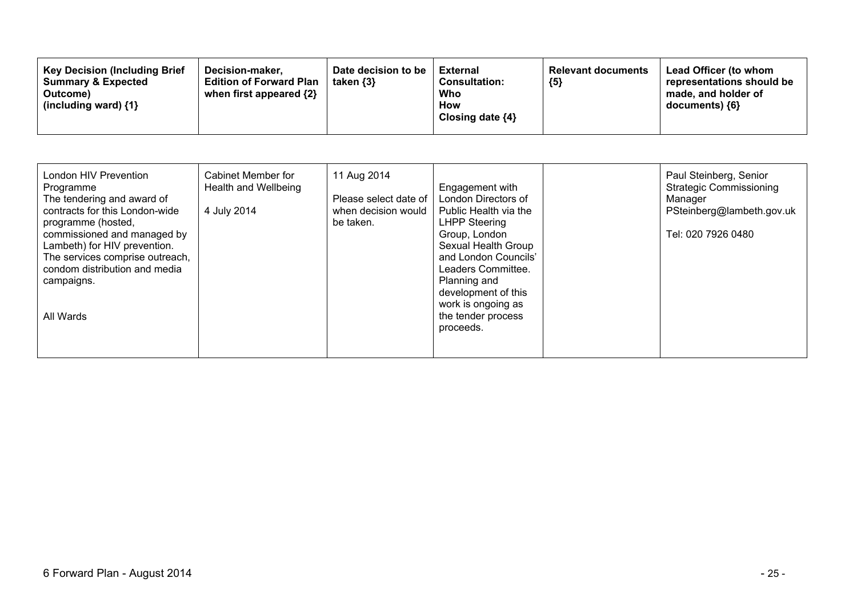| 11 Aug 2014                     | Paul Steinberg, Senior         |
|---------------------------------|--------------------------------|
| London HIV Prevention           | <b>Strategic Commissioning</b> |
| Cabinet Member for              | Engagement with                |
| Health and Wellbeing            | London Directors of            |
| Programme                       | Manager                        |
| The tendering and award of      | PSteinberg@lambeth.gov.uk      |
| Please select date of           | Public Health via the          |
| contracts for this London-wide  | <b>LHPP Steering</b>           |
| 4 July 2014                     | Tel: 020 7926 0480             |
| when decision would             | Group, London                  |
| be taken.                       | Sexual Health Group            |
| programme (hosted,              | and London Councils'           |
| commissioned and managed by     | Leaders Committee.             |
| Lambeth) for HIV prevention.    | Planning and                   |
| The services comprise outreach, | development of this            |
| condom distribution and media   | work is ongoing as             |
| campaigns.                      | the tender process             |
| All Wards                       | proceeds.                      |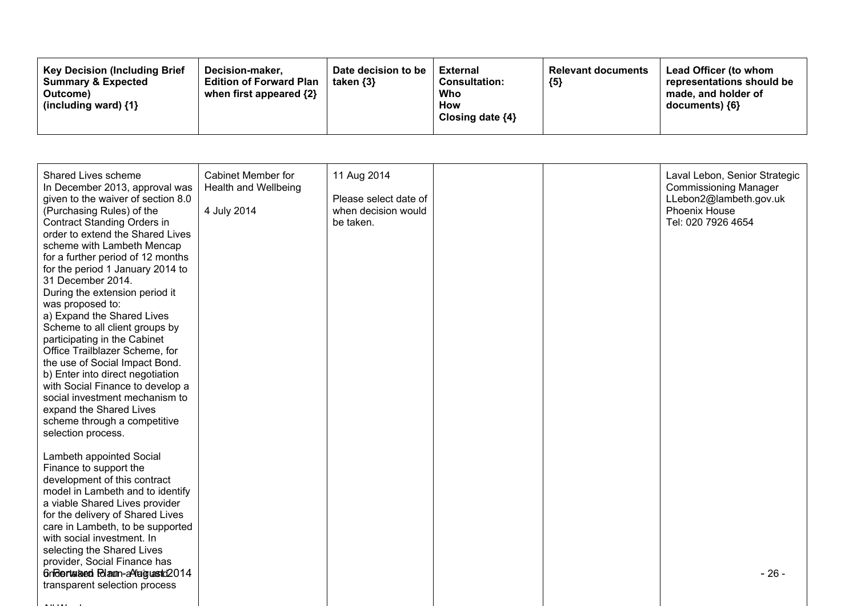| <b>Key Decision (Including Brief</b><br>Decision-maker.<br><b>Summary &amp; Expected</b><br><b>Edition of Forward Plan</b><br>when first appeared $\{2\}$<br>Outcome)<br>(including ward) $\{1\}$ | Date decision to be<br>taken {3} | <b>External</b><br><b>Consultation:</b><br>Who<br>How<br>Closing date $\{4\}$ | <b>Relevant documents</b><br>${5}$ | <b>Lead Officer (to whom</b><br>representations should be<br>made, and holder of<br>documents) ${6}$ |
|---------------------------------------------------------------------------------------------------------------------------------------------------------------------------------------------------|----------------------------------|-------------------------------------------------------------------------------|------------------------------------|------------------------------------------------------------------------------------------------------|
|---------------------------------------------------------------------------------------------------------------------------------------------------------------------------------------------------|----------------------------------|-------------------------------------------------------------------------------|------------------------------------|------------------------------------------------------------------------------------------------------|

| Shared Lives scheme<br>In December 2013, approval was<br>given to the waiver of section 8.0<br>(Purchasing Rules) of the<br><b>Contract Standing Orders in</b><br>order to extend the Shared Lives<br>scheme with Lambeth Mencap<br>for a further period of 12 months<br>for the period 1 January 2014 to<br>31 December 2014.<br>During the extension period it<br>was proposed to:<br>a) Expand the Shared Lives<br>Scheme to all client groups by<br>participating in the Cabinet<br>Office Trailblazer Scheme, for<br>the use of Social Impact Bond.<br>b) Enter into direct negotiation<br>with Social Finance to develop a<br>social investment mechanism to<br>expand the Shared Lives<br>scheme through a competitive<br>selection process. | Cabinet Member for<br>Health and Wellbeing<br>4 July 2014 | 11 Aug 2014<br>Please select date of<br>when decision would<br>be taken. |  | Laval Lebon, Senior Strategic<br><b>Commissioning Manager</b><br>LLebon2@lambeth.gov.uk<br>Phoenix House<br>Tel: 020 7926 4654 |
|-----------------------------------------------------------------------------------------------------------------------------------------------------------------------------------------------------------------------------------------------------------------------------------------------------------------------------------------------------------------------------------------------------------------------------------------------------------------------------------------------------------------------------------------------------------------------------------------------------------------------------------------------------------------------------------------------------------------------------------------------------|-----------------------------------------------------------|--------------------------------------------------------------------------|--|--------------------------------------------------------------------------------------------------------------------------------|
| Lambeth appointed Social<br>Finance to support the<br>development of this contract<br>model in Lambeth and to identify<br>a viable Shared Lives provider<br>for the delivery of Shared Lives<br>care in Lambeth, to be supported<br>with social investment. In<br>selecting the Shared Lives<br>provider, Social Finance has<br>6ndertaked felaum-affaiguastd2014<br>transparent selection process                                                                                                                                                                                                                                                                                                                                                  |                                                           |                                                                          |  | $-26-$                                                                                                                         |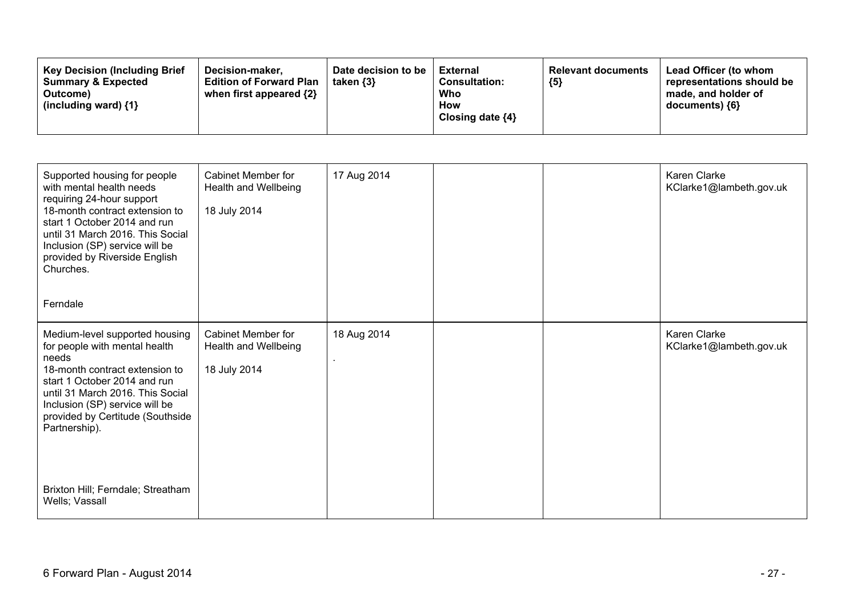| Supported housing for people<br>with mental health needs<br>requiring 24-hour support<br>18-month contract extension to<br>start 1 October 2014 and run<br>until 31 March 2016. This Social<br>Inclusion (SP) service will be<br>provided by Riverside English<br>Churches.<br>Ferndale                                      | <b>Cabinet Member for</b><br>Health and Wellbeing<br>18 July 2014 | 17 Aug 2014 |  | <b>Karen Clarke</b><br>KClarke1@lambeth.gov.uk |
|------------------------------------------------------------------------------------------------------------------------------------------------------------------------------------------------------------------------------------------------------------------------------------------------------------------------------|-------------------------------------------------------------------|-------------|--|------------------------------------------------|
| Medium-level supported housing<br>for people with mental health<br>needs<br>18-month contract extension to<br>start 1 October 2014 and run<br>until 31 March 2016. This Social<br>Inclusion (SP) service will be<br>provided by Certitude (Southside<br>Partnership).<br>Brixton Hill; Ferndale; Streatham<br>Wells; Vassall | <b>Cabinet Member for</b><br>Health and Wellbeing<br>18 July 2014 | 18 Aug 2014 |  | Karen Clarke<br>KClarke1@lambeth.gov.uk        |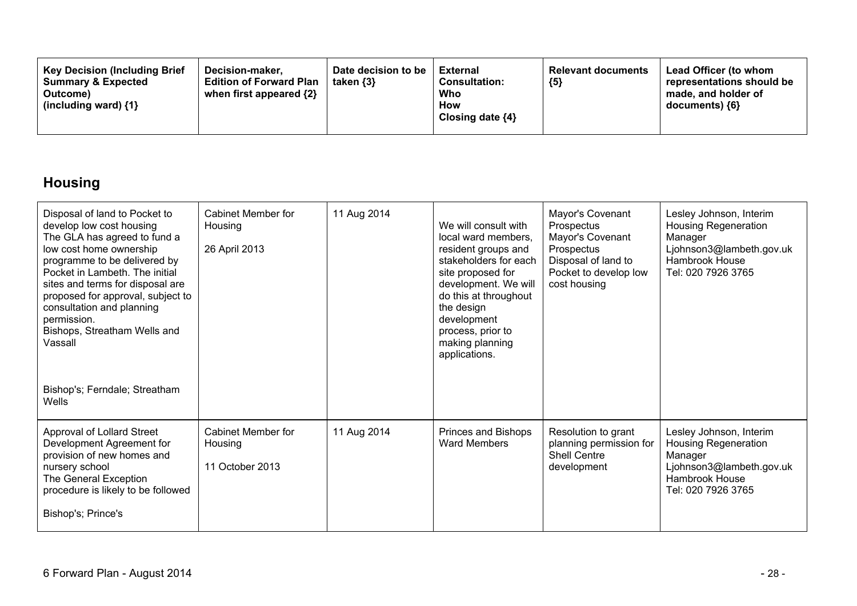| <b>Key Decision (Including Brief</b><br><b>Summary &amp; Expected</b><br>Outcome)<br>(including ward) $\{1\}$ | Decision-maker.<br><b>Edition of Forward Plan</b><br>when first appeared {2} | Date decision to be<br>taken $\{3\}$ | <b>External</b><br><b>Consultation:</b><br>Who<br><b>How</b><br>Closing date $\{4\}$ | <b>Relevant documents</b><br>${5}$ | <b>Lead Officer (to whom</b><br>representations should be<br>made, and holder of<br>documents) ${6}$ |
|---------------------------------------------------------------------------------------------------------------|------------------------------------------------------------------------------|--------------------------------------|--------------------------------------------------------------------------------------|------------------------------------|------------------------------------------------------------------------------------------------------|
|---------------------------------------------------------------------------------------------------------------|------------------------------------------------------------------------------|--------------------------------------|--------------------------------------------------------------------------------------|------------------------------------|------------------------------------------------------------------------------------------------------|

## **Housing**

| Disposal of land to Pocket to<br>develop low cost housing<br>The GLA has agreed to fund a<br>low cost home ownership<br>programme to be delivered by<br>Pocket in Lambeth. The initial<br>sites and terms for disposal are<br>proposed for approval, subject to<br>consultation and planning<br>permission.<br>Bishops, Streatham Wells and<br>Vassall | Cabinet Member for<br>Housing<br>26 April 2013   | 11 Aug 2014 | We will consult with<br>local ward members,<br>resident groups and<br>stakeholders for each<br>site proposed for<br>development. We will<br>do this at throughout<br>the design<br>development<br>process, prior to<br>making planning<br>applications. | Mayor's Covenant<br>Prospectus<br>Mayor's Covenant<br>Prospectus<br>Disposal of land to<br>Pocket to develop low<br>cost housing | Lesley Johnson, Interim<br><b>Housing Regeneration</b><br>Manager<br>Ljohnson3@lambeth.gov.uk<br>Hambrook House<br>Tel: 020 7926 3765 |
|--------------------------------------------------------------------------------------------------------------------------------------------------------------------------------------------------------------------------------------------------------------------------------------------------------------------------------------------------------|--------------------------------------------------|-------------|---------------------------------------------------------------------------------------------------------------------------------------------------------------------------------------------------------------------------------------------------------|----------------------------------------------------------------------------------------------------------------------------------|---------------------------------------------------------------------------------------------------------------------------------------|
| Bishop's; Ferndale; Streatham<br>Wells                                                                                                                                                                                                                                                                                                                 |                                                  |             |                                                                                                                                                                                                                                                         |                                                                                                                                  |                                                                                                                                       |
| Approval of Lollard Street<br>Development Agreement for<br>provision of new homes and<br>nursery school<br>The General Exception<br>procedure is likely to be followed<br>Bishop's; Prince's                                                                                                                                                           | Cabinet Member for<br>Housing<br>11 October 2013 | 11 Aug 2014 | Princes and Bishops<br>Ward Members                                                                                                                                                                                                                     | Resolution to grant<br>planning permission for<br><b>Shell Centre</b><br>development                                             | Lesley Johnson, Interim<br><b>Housing Regeneration</b><br>Manager<br>Ljohnson3@lambeth.gov.uk<br>Hambrook House<br>Tel: 020 7926 3765 |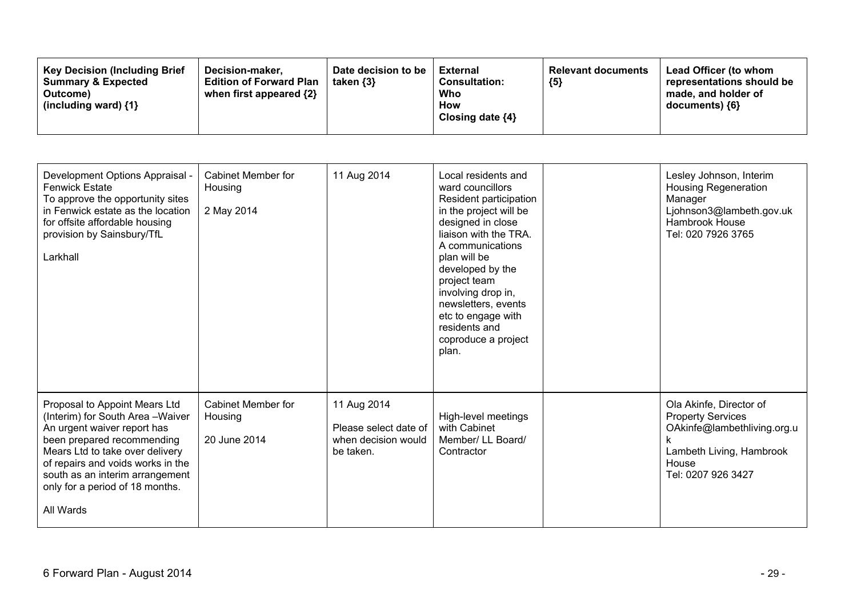| <b>Key Decision (Including Brief)</b><br>Decision-maker,<br><b>Summary &amp; Expected</b><br><b>Edition of Forward Plan</b><br>when first appeared $\{2\}$<br>Outcome)<br>(including ward) $\{1\}$ | External<br><b>Consultation:</b><br>Who<br>How<br>Closing date ${4}$ | Date decision to be<br>taken $\{3\}$ | <b>Relevant documents</b><br>${5}$ | Lead Officer (to whom<br>representations should be<br>made, and holder of<br>documents) ${6}$ |
|----------------------------------------------------------------------------------------------------------------------------------------------------------------------------------------------------|----------------------------------------------------------------------|--------------------------------------|------------------------------------|-----------------------------------------------------------------------------------------------|
|----------------------------------------------------------------------------------------------------------------------------------------------------------------------------------------------------|----------------------------------------------------------------------|--------------------------------------|------------------------------------|-----------------------------------------------------------------------------------------------|

| Development Options Appraisal -<br><b>Fenwick Estate</b><br>To approve the opportunity sites<br>in Fenwick estate as the location<br>for offsite affordable housing<br>provision by Sainsbury/TfL<br>Larkhall                                                                              | <b>Cabinet Member for</b><br>Housing<br>2 May 2014   | 11 Aug 2014                                                              | Local residents and<br>ward councillors<br>Resident participation<br>in the project will be<br>designed in close<br>liaison with the TRA.<br>A communications<br>plan will be<br>developed by the<br>project team<br>involving drop in,<br>newsletters, events<br>etc to engage with<br>residents and<br>coproduce a project<br>plan. | Lesley Johnson, Interim<br><b>Housing Regeneration</b><br>Manager<br>Ljohnson3@lambeth.gov.uk<br>Hambrook House<br>Tel: 020 7926 3765         |
|--------------------------------------------------------------------------------------------------------------------------------------------------------------------------------------------------------------------------------------------------------------------------------------------|------------------------------------------------------|--------------------------------------------------------------------------|---------------------------------------------------------------------------------------------------------------------------------------------------------------------------------------------------------------------------------------------------------------------------------------------------------------------------------------|-----------------------------------------------------------------------------------------------------------------------------------------------|
| Proposal to Appoint Mears Ltd<br>(Interim) for South Area - Waiver<br>An urgent waiver report has<br>been prepared recommending<br>Mears Ltd to take over delivery<br>of repairs and voids works in the<br>south as an interim arrangement<br>only for a period of 18 months.<br>All Wards | <b>Cabinet Member for</b><br>Housing<br>20 June 2014 | 11 Aug 2014<br>Please select date of<br>when decision would<br>be taken. | High-level meetings<br>with Cabinet<br>Member/ LL Board/<br>Contractor                                                                                                                                                                                                                                                                | Ola Akinfe, Director of<br><b>Property Services</b><br>OAkinfe@lambethliving.org.u<br>Lambeth Living, Hambrook<br>House<br>Tel: 0207 926 3427 |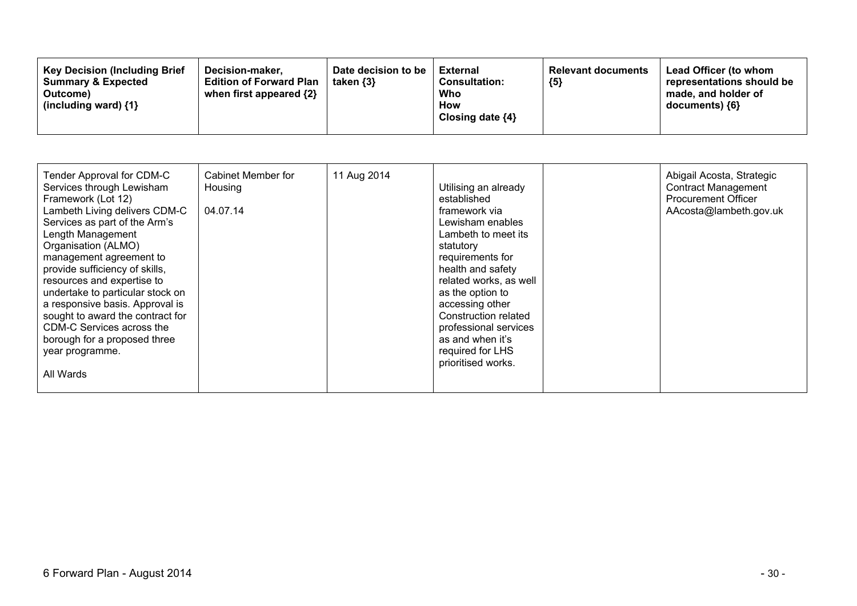| <b>Key Decision (Including Brief)</b><br>Decision-maker,<br><b>Summary &amp; Expected</b><br><b>Edition of Forward Plan</b><br>when first appeared {2}<br>Outcome)<br>(including ward) $\{1\}$ | Date decision to be<br>taken $\{3\}$ | <b>External</b><br><b>Consultation:</b><br>Who<br>How<br>Closing date $\{4\}$ | <b>Relevant documents</b><br>${5}$ | Lead Officer (to whom<br>representations should be<br>made, and holder of<br>$documents)$ {6} |
|------------------------------------------------------------------------------------------------------------------------------------------------------------------------------------------------|--------------------------------------|-------------------------------------------------------------------------------|------------------------------------|-----------------------------------------------------------------------------------------------|
|------------------------------------------------------------------------------------------------------------------------------------------------------------------------------------------------|--------------------------------------|-------------------------------------------------------------------------------|------------------------------------|-----------------------------------------------------------------------------------------------|

| Tender Approval for CDM-C<br>Services through Lewisham<br>Framework (Lot 12)<br>Lambeth Living delivers CDM-C<br>Services as part of the Arm's<br>Length Management<br>Organisation (ALMO)<br>management agreement to<br>provide sufficiency of skills,<br>resources and expertise to<br>undertake to particular stock on<br>a responsive basis. Approval is<br>sought to award the contract for<br>CDM-C Services across the<br>borough for a proposed three<br>year programme.<br>All Wards | Cabinet Member for<br>Housing<br>04.07.14 | 11 Aug 2014 | Utilising an already<br>established<br>framework via<br>Lewisham enables<br>Lambeth to meet its<br>statutory<br>requirements for<br>health and safety<br>related works, as well<br>as the option to<br>accessing other<br>Construction related<br>professional services<br>as and when it's<br>required for LHS<br>prioritised works. |  | Abigail Acosta, Strategic<br><b>Contract Management</b><br><b>Procurement Officer</b><br>AAcosta@lambeth.gov.uk |
|-----------------------------------------------------------------------------------------------------------------------------------------------------------------------------------------------------------------------------------------------------------------------------------------------------------------------------------------------------------------------------------------------------------------------------------------------------------------------------------------------|-------------------------------------------|-------------|---------------------------------------------------------------------------------------------------------------------------------------------------------------------------------------------------------------------------------------------------------------------------------------------------------------------------------------|--|-----------------------------------------------------------------------------------------------------------------|
|-----------------------------------------------------------------------------------------------------------------------------------------------------------------------------------------------------------------------------------------------------------------------------------------------------------------------------------------------------------------------------------------------------------------------------------------------------------------------------------------------|-------------------------------------------|-------------|---------------------------------------------------------------------------------------------------------------------------------------------------------------------------------------------------------------------------------------------------------------------------------------------------------------------------------------|--|-----------------------------------------------------------------------------------------------------------------|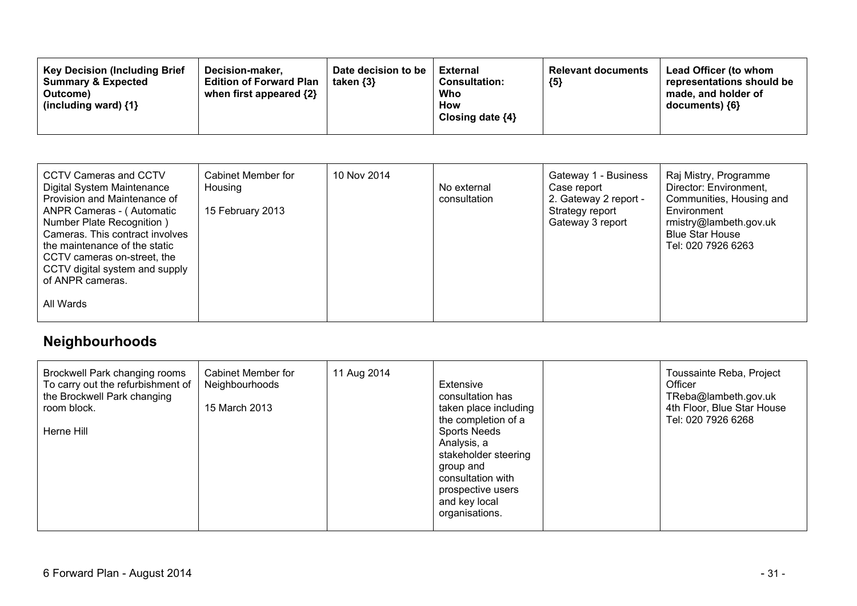| <b>Key Decision (Including Brief)</b><br>Decision-maker.<br><b>Summary &amp; Expected</b><br><b>Edition of Forward Plan</b><br>when first appeared $\{2\}$<br>Outcome)<br>(including ward) $\{1\}$ | Date decision to be<br>taken $\{3\}$ | <b>External</b><br><b>Consultation:</b><br>Who<br>How<br>Closing date $\{4\}$ | <b>Relevant documents</b><br>${5}$ | Lead Officer (to whom<br>representations should be<br>made, and holder of<br>documents) {6} |
|----------------------------------------------------------------------------------------------------------------------------------------------------------------------------------------------------|--------------------------------------|-------------------------------------------------------------------------------|------------------------------------|---------------------------------------------------------------------------------------------|
|----------------------------------------------------------------------------------------------------------------------------------------------------------------------------------------------------|--------------------------------------|-------------------------------------------------------------------------------|------------------------------------|---------------------------------------------------------------------------------------------|

| CCTV Cameras and CCTV<br>Digital System Maintenance<br>Provision and Maintenance of<br><b>ANPR Cameras - (Automatic</b><br>Number Plate Recognition)<br>Cameras. This contract involves<br>the maintenance of the static<br>CCTV cameras on-street, the<br>CCTV digital system and supply<br>of ANPR cameras. | Cabinet Member for<br>Housing<br>15 February 2013 | 10 Nov 2014 | No external<br>consultation | Gateway 1 - Business<br>Case report<br>2. Gateway 2 report -<br>Strategy report<br>Gateway 3 report | Raj Mistry, Programme<br>Director: Environment,<br>Communities, Housing and<br>Environment<br>rmistry@lambeth.gov.uk<br><b>Blue Star House</b><br>Tel: 020 7926 6263 |
|---------------------------------------------------------------------------------------------------------------------------------------------------------------------------------------------------------------------------------------------------------------------------------------------------------------|---------------------------------------------------|-------------|-----------------------------|-----------------------------------------------------------------------------------------------------|----------------------------------------------------------------------------------------------------------------------------------------------------------------------|
| All Wards                                                                                                                                                                                                                                                                                                     |                                                   |             |                             |                                                                                                     |                                                                                                                                                                      |

## **Neighbourhoods**

| Brockwell Park changing rooms<br>To carry out the refurbishment of<br>the Brockwell Park changing<br>room block.<br>Herne Hill | Cabinet Member for<br>Neighbourhoods<br>15 March 2013 | 11 Aug 2014 | Extensive<br>consultation has<br>taken place including<br>the completion of a<br><b>Sports Needs</b><br>Analysis, a<br>stakeholder steering<br>group and<br>consultation with<br>prospective users<br>and key local<br>organisations. |  | Toussainte Reba, Project<br>Officer<br>TReba@lambeth.gov.uk<br>4th Floor, Blue Star House<br>Tel: 020 7926 6268 |
|--------------------------------------------------------------------------------------------------------------------------------|-------------------------------------------------------|-------------|---------------------------------------------------------------------------------------------------------------------------------------------------------------------------------------------------------------------------------------|--|-----------------------------------------------------------------------------------------------------------------|
|--------------------------------------------------------------------------------------------------------------------------------|-------------------------------------------------------|-------------|---------------------------------------------------------------------------------------------------------------------------------------------------------------------------------------------------------------------------------------|--|-----------------------------------------------------------------------------------------------------------------|